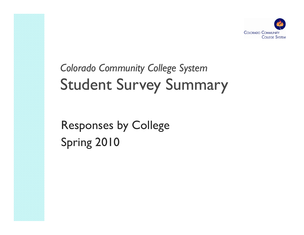

# *Colorado Community College System* Student Survey Summary

Responses by College Spring 2010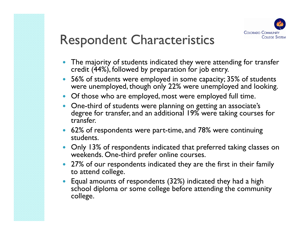

- $\bullet$  The majority of students indicated they were attending for transfer credit (44%), followed by preparation for job entry.
- 0 56% of students were employed in some capacity; 35% of students were unemployed, though only 22% were unemployed and looking.
- Of those who are employed, most were employed full time.
- One-third of students were planning on getting an associate's degree for transfer, and an additional 19% were taking courses for transfer.
- 62% of respondents were part-time, and 78% were continuing students.
- $\bullet$  Only 13% of respondents indicated that preferred taking classes on weekends. One-third prefer online courses.
- 0 • 27% of our respondents indicated they are the first in their family to attend college.
- $\bullet$  Equal amounts of respondents (32%) indicated they had a high school diploma or some college before attending the community college.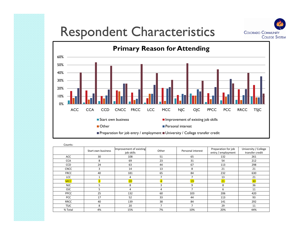



| Counts:     |                    |                                       |       |                   |                                           |                                         |
|-------------|--------------------|---------------------------------------|-------|-------------------|-------------------------------------------|-----------------------------------------|
|             | Start own business | Improvement of existing<br>job skills | Other | Personal interest | Preparation for job<br>entry / employment | University / College<br>transfer credit |
| ACC         | 30                 | 108                                   | 51    | 65                | 132                                       | 261                                     |
| <b>CCA</b>  | 8                  | 69                                    | 23    | 31                | 54                                        | 212                                     |
| CCD         | 24                 | 63                                    | 44    | 67                | 113                                       | 298                                     |
| <b>CNCC</b> | 3                  | 14                                    | 13    | 8                 | 21                                        | 21                                      |
| <b>FRCC</b> | 40                 | 181                                   | 65    | 84                | 232                                       | 630                                     |
| <b>LCC</b>  |                    | 4                                     | 7     |                   | 13                                        | 21                                      |
| <b>MCC</b>  | $\overline{3}$     | 20 <sup>°</sup>                       |       | <b>19</b>         | 21                                        | 30 <sub>o</sub>                         |
| NJC         | 5                  | 8                                     |       | 9                 | 8                                         | 36                                      |
| <b>OJC</b>  | 5.                 | 4                                     | 4     | $\overline{ }$    | 6                                         | 11                                      |
| <b>PPCC</b> | 25                 | 132                                   | 60    | 103               | 206                                       | 420                                     |
| <b>PCC</b>  | 17                 | 52                                    | 33    | 44                | 113                                       | 93                                      |
| <b>RRCC</b> | 40                 | 139                                   | 38    | 84                | 141                                       | 292                                     |
| <b>TSJC</b> | 8                  | 20                                    | 7     |                   | 29                                        | 11                                      |
| % Total     | 4%                 | 15%                                   | 7%    | 10%               | 20%                                       | 44%                                     |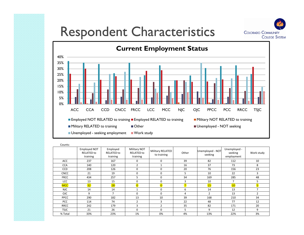



| Counts:     |                                               |                                           |                                                      |                                        |                |                             |                                       |                |
|-------------|-----------------------------------------------|-------------------------------------------|------------------------------------------------------|----------------------------------------|----------------|-----------------------------|---------------------------------------|----------------|
|             | Employed NOT<br><b>RELATED to</b><br>training | Employed<br><b>RELATED to</b><br>training | <b>Military NOT</b><br><b>RELATED to</b><br>training | <b>Military RELATED</b><br>to training | Other          | Unemployed - NOT<br>seeking | Unemployed -<br>seeking<br>employment | Work study     |
| ACC         | 237                                           | 167                                       | 0                                                    | $\mathbf 0$                            | 39             | 82                          | 112                                   | 10             |
| <b>CCA</b>  | 140                                           | 120                                       | $\overline{2}$                                       | $\mathbf{1}$                           | 16             | 37                          | 73                                    | 8              |
| <b>CCD</b>  | 208                                           | 126                                       | $\Omega$                                             | $\Omega$                               | 20             | 76                          | 156                                   | 23             |
| <b>CNCC</b> | 21                                            | 19                                        | 0                                                    | $\Omega$                               | 5              | 10                          | 22                                    | 3              |
| <b>FRCC</b> | 434                                           | 257                                       | 5                                                    | $\Omega$                               | 34             | 169                         | 285                                   | 48             |
| <b>LCC</b>  | 13                                            | 15                                        | 0                                                    | $\mathbf 0$                            | 3              | 10                          | $\overline{7}$                        | 5              |
| <b>MCC</b>  | 32                                            | 28                                        | $\overline{0}$                                       | $\overline{0}$                         | $\overline{7}$ | 15                          | 10                                    | 5 <sup>1</sup> |
| <b>NJC</b>  | 14                                            | 14                                        |                                                      | $\mathbf 0$                            | 6              | 14                          | 13                                    | $\overline{ }$ |
| <b>OJC</b>  | 9                                             | $\overline{7}$                            | $\Omega$                                             | $\Omega$                               | 4              | $\overline{2}$              | 13                                    | $\overline{2}$ |
| <b>PPCC</b> | 290                                           | 182                                       | 13                                                   | 10                                     | 39             | 168                         | 210                                   | 34             |
| <b>PCC</b>  | 114                                           | 74                                        | $\overline{2}$                                       | 3                                      | 22             | 48                          | 77                                    | 12             |
| <b>RRCC</b> | 242                                           | 179                                       | 3                                                    | $\overline{2}$                         | 35             | 82                          | 171                                   | 20             |
| <b>TSJC</b> | 21                                            | 26                                        | $\Omega$                                             | $\Omega$                               | 5              | 9                           | 12                                    | 9              |
| % Total     | 33%                                           | 23%                                       | 1%                                                   | 0%                                     | 4%             | 13%                         | 22%                                   | 3%             |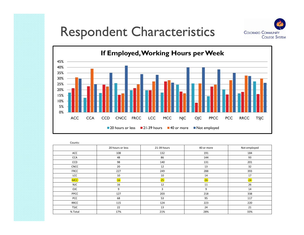





| Counts:     |                  |             |            |              |
|-------------|------------------|-------------|------------|--------------|
|             | 20 hours or less | 21-39 hours | 40 or more | Not employed |
| ACC         | 108              | 132         | 191        | 184          |
| <b>CCA</b>  | 48               | 86          | 144        | 93           |
| CCD         | 98               | 140         | 131        | 201          |
| <b>CNCC</b> | 20               | 12          | 13         | 32           |
| <b>FRCC</b> | 227              | 249         | 288        | 393          |
| LCC         | 10               | 10          | 14         | 17           |
| <b>MCC</b>  | 16               | 25          | 26         | 24           |
| <b>NJC</b>  | 16               | 12          | 11         | 26           |
| OJC         | 9                | 3           | 9          | 14           |
| PPCC        | 127              | 203         | 218        | 338          |
| PCC         | 68               | 53          | 95         | 117          |
| <b>RRCC</b> | 115              | 124         | 223        | 220          |
| <b>TSJC</b> | 22               | 13          | 24         | 21           |
| % Total     | 17%              | 21%         | 28%        | 33%          |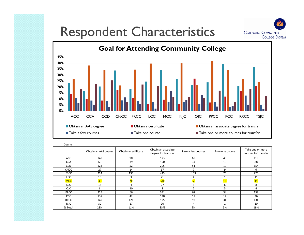



| Counts:     |                      |                      |                                            |                    |                 |                                          |
|-------------|----------------------|----------------------|--------------------------------------------|--------------------|-----------------|------------------------------------------|
|             | Obtain an AAS degree | Obtain a certificate | Obtain an associate<br>degree for transfer | Take a few courses | Take one course | Take one or more<br>courses for transfer |
| ACC         | 149                  | 90                   | 173                                        | 69                 | 43              | 119                                      |
| <b>CCA</b>  | 65                   | 39                   | 150                                        | 34                 | 19              | 88                                       |
| <b>CCD</b>  | 123                  | 52                   | 205                                        | 51                 | 19              | 154                                      |
| <b>CNCC</b> | 27                   | 14                   | 17                                         |                    | 9               | 6                                        |
| <b>FRCC</b> | 224                  | 135                  | 423                                        | 103                | 70              | 270                                      |
| <b>LCC</b>  | 13                   | 3                    | 21                                         | 4                  |                 | 11                                       |
| <b>MCC</b>  | 33 <sup>°</sup>      | $\overline{9}$       | 20 <sub>2</sub>                            | $\overline{7}$     | 16              | 11                                       |
| <b>NJC</b>  | 18                   | 4                    | 27                                         | 5.                 | 6               | 8                                        |
| <b>OJC</b>  | 8                    | 10                   | 8                                          | $\mathfrak{p}$     | 5               | 4                                        |
| <b>PPCC</b> | 225                  | 66                   | 391                                        | 67                 | 34              | 159                                      |
| <b>PCC</b>  | 137                  | 42                   | 120                                        | 12                 | 14              | 26                                       |
| <b>RRCC</b> | 149                  | 121                  | 195                                        | 93                 | 34              | 134                                      |
| <b>TSJC</b> | 30                   | 17                   | 20                                         | 4                  |                 | 10                                       |
| % Total     | 23%                  | 11%                  | 33%                                        | 9%                 | 5%              | 19%                                      |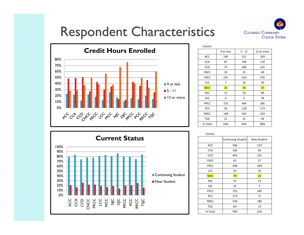



| Counts:     |           |          |            |
|-------------|-----------|----------|------------|
|             | 4 or less | $5 - 11$ | 12 or more |
| <b>ACC</b>  | 149       | 311      | 183        |
| <b>CCA</b>  | 87        | 196      | 116        |
| CCD         | 73        | 306      | 225        |
| <b>CNCC</b> | 18        | 22       | 40         |
| <b>FRCC</b> | 225       | 524      | 476        |
| LCC         | 7         | 16       | 30         |
| <b>MCC</b>  | 25        | 34       | 37         |
| <b>NJC</b>  | 12        | 10       | 46         |
| OJC         | 4         | 5        | 28         |
| PPCC        | 153       | 404      | 385        |
| <b>PCC</b>  | 50        | 128      | 173        |
| <b>RRCC</b> | 148       | 335      | 243        |
| <b>TSJC</b> | 12        | 21       | 49         |
| % Total     | 18%       | 44%      | 38%        |



| Counts:     |                    |             |
|-------------|--------------------|-------------|
|             | Continuing Student | New Student |
| ACC         | 506                | 133         |
| <b>CCA</b>  | 326                | 64          |
| CCD         | 443                | 155         |
| <b>CNCC</b> | 61                 | 17          |
| <b>FRCC</b> | 948                | 269         |
| LCC         | 42                 | 10          |
| <b>MCC</b>  | 79                 | 16          |
| <b>NJC</b>  | 55                 | 13          |
| OJC         | 32                 | 5           |
| <b>PPCC</b> | 752                | 185         |
| PCC         | 273                | 71          |
| <b>RRCC</b> | 534                | 180         |
| <b>TSJC</b> | 69                 | 13          |
| % Total     | 78%                | 22%         |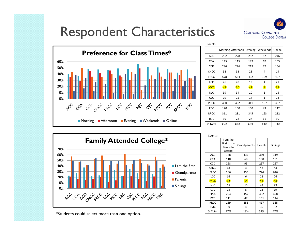



| Counts:     |         |                 |         |                |        |
|-------------|---------|-----------------|---------|----------------|--------|
|             | Morning | Afternoon       | Evening | Weekends       | Online |
| ACC         | 262     | 228             | 282     | 82             | 246    |
| <b>CCA</b>  | 145     | 115             | 199     | 67             | 135    |
| <b>CCD</b>  | 296     | 276             | 219     | 77             | 164    |
| <b>CNCC</b> | 38      | 33              | 28      | 4              | 19     |
| <b>FRCC</b> | 578     | 564             | 492     | 109            | 407    |
| LCC         | 26      | 20              | 19      | 4              | 21     |
| <b>MCC</b>  | 47      | 30 <sub>2</sub> | 42      | $\overline{8}$ | 39     |
| <b>NJC</b>  | 39      | 34              | 10      | $\mathbf{1}$   | 15     |
| <b>OJC</b>  | 19      | 12              | 14      | $\mathbf{1}$   | 12     |
| PPCC        | 480     | 402             | 341     | 107            | 307    |
| <b>PCC</b>  | 170     | 150             | 150     | 43             | 112    |
| <b>RRCC</b> | 311     | 281             | 345     | 153            | 212    |
| <b>TSJC</b> | 39      | 28              | 27      | 11             | 30     |
| % Total     | 45%     | 40%             | 40%     | 13%            | 33%    |



| Counts:     |                                                |              |         |          |
|-------------|------------------------------------------------|--------------|---------|----------|
|             | I am the<br>first in my<br>family to<br>attend | Grandparents | Parents | Siblings |
| <b>ACC</b>  | 148                                            | 137          | 369     | 319      |
| <b>CCA</b>  | 110                                            | 68           | 188     | 191      |
| <b>CCD</b>  | 228                                            | 93           | 257     | 257      |
| <b>CNCC</b> | 18                                             | 13           | 42      | 43       |
| <b>FRCC</b> | 286                                            | 253          | 724     | 626      |
| <b>LCC</b>  | 16                                             | 6            | 22      | 26       |
| <b>MCC</b>  | 32 <sup>2</sup>                                | 14           | 43      | 48       |
| <b>NJC</b>  | 15                                             | 15           | 42      | 29       |
| <b>OJC</b>  | 13                                             | 8            | 16      | 19       |
| PPCC        | 254                                            | 157          | 492     | 428      |
| <b>PCC</b>  | 111                                            | 47           | 151     | 144      |
| <b>RRCC</b> | 189                                            | 156          | 417     | 365      |
| <b>TSJC</b> | 30                                             | 4            | 35      | 32       |
| % Total     | 27%                                            | 18%          | 53%     | 47%      |

\*Students could select more than one option.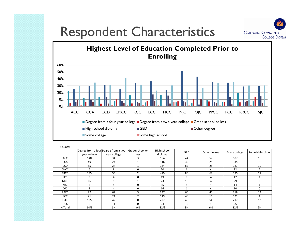



| Counts:     |                                      |              |                 |             |            |                |              |                  |
|-------------|--------------------------------------|--------------|-----------------|-------------|------------|----------------|--------------|------------------|
|             | Degree from a four Degree from a two |              | Grade school or | High school | <b>GED</b> | Other degree   | Some college | Some high school |
|             | vear college                         | vear college | less            | diploma     |            |                |              |                  |
| <b>ACC</b>  | 140                                  | 34           | 3               | 164         | 44         | 57             | 187          | 10               |
| <b>CCA</b>  | 49                                   | 24           |                 | 116         | 35         | 25             | 135          | 5                |
| <b>CCD</b>  | 85                                   | 24           |                 | 184         | 82         | 25             | 187          | 10               |
| <b>CNCC</b> | 6                                    | 8            | $\Omega$        | 20          | 6          | 4              | 32           | $\overline{2}$   |
| <b>FRCC</b> | 195                                  | 53           |                 | 419         | 80         | 62             | 385          | 21               |
| <b>LCC</b>  | 3                                    | 4            | $\Omega$        | 19          | 9          | 4              | 12           |                  |
| <b>MCC</b>  | 16                                   |              |                 | 23          | 15         | $\overline{4}$ | 29           | 6                |
| <b>NJC</b>  | 4                                    | 5            | $\Omega$        | 35          | ֿ          | 4              | 14           |                  |
| <b>OJC</b>  | 2                                    | 4            | $\Omega$        | 16          |            | 4              | 10           | $\Omega$         |
| <b>PPCC</b> | 92                                   | 67           | ς               | 337         | 60         | 47             | 318          | 13               |
| PCC         | 21                                   | 21           |                 | 119         | 46         | 10             | 121          | 4                |
| RRCC        | 135                                  | 42           | $\Omega$        | 207         | 46         | 54             | 217          | 13               |
| <b>TSJC</b> | 6                                    | 11           | $\Omega$        | 24          | 12         | 4              | 25           | $\Omega$         |
| % Total     | 14%                                  | 6%           | 0%              | 32%         | 8%         | 6%             | 32%          | 2%               |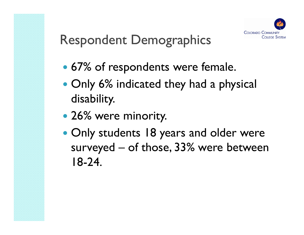

- 67% of res pondents were female.
- Only 6% indicated they had a physical disability.
- 26% were minority.
- Only students 18 years and older were surveyed – of those, 33% were between 18-24.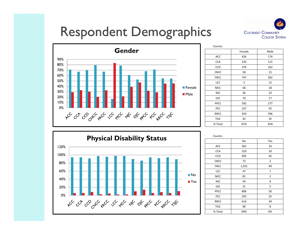



| Counts:     |        |      |
|-------------|--------|------|
|             | Female | Male |
| ACC         | 426    | 174  |
| <b>CCA</b>  | 235    | 115  |
| CCD         | 379    | 163  |
| <b>CNCC</b> | 58     | 15   |
| <b>FRCC</b> | 747    | 362  |
| LCC         | 3      | 15   |
| <b>MCC</b>  | 66     | 18   |
| <b>NJC</b>  | 36     | 23   |
| <b>OJC</b>  | 19     | 17   |
| <b>PPCC</b> | 592    | 277  |
| PCC         | 227    | 92   |
| <b>RRCC</b> | 359    | 296  |
| <b>TSJC</b> | 42     | 35   |
| % Total     | 67%    | 33%  |



|             | No    | Yes            |
|-------------|-------|----------------|
| <b>ACC</b>  | 562   | 33             |
| <b>CCA</b>  | 329   | 20             |
| <b>CCD</b>  | 495   | 45             |
| <b>CNCC</b> | 72    | $\overline{2}$ |
| <b>FRCC</b> | 1,051 | 49             |
| LCC         | 47    | $\mathbf{1}$   |
| <b>MCC</b>  | 81    | $\overline{2}$ |
| <b>NJC</b>  | 54    | 6              |
| <b>OJC</b>  | 31    | 5              |
| PPCC        | 806   | 50             |

TSJC 68 8 % Total 94% 6%

39

| $\sim$      |    |
|-------------|----|
| <b>CCA</b>  | 32 |
| CCD         | 49 |
| <b>CNCC</b> | 72 |
|             |    |

RRCC 616

| ACC         |  |
|-------------|--|
| <b>CCA</b>  |  |
| CCD         |  |
| <b>CNCC</b> |  |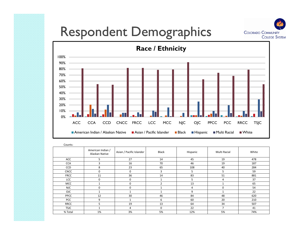



| Counts:     |                                     |                          |                |          |              |       |
|-------------|-------------------------------------|--------------------------|----------------|----------|--------------|-------|
|             | American Indian /<br>Alaskan Native | Asian / Pacific Islander | Black          | Hispanic | Multi Racial | White |
| ACC         | 5                                   | 27                       | 14             | 45       | 19           | 478   |
| <b>CCA</b>  | ς                                   | 16                       | 70             | 46       | 19           | 187   |
| CCD         | 8                                   | 23                       | 65             | 108      | 40           | 284   |
| <b>CNCC</b> | 0                                   | 0                        | 3              | 5        | 5            | 59    |
| <b>FRCC</b> | 11                                  | 36                       | 14             | 83       | 51           | 881   |
| <b>LCC</b>  | $\mathbf 0$                         | 0                        |                | 5        | 4            | 37    |
| <b>MCC</b>  | $\mathbf{1}$                        | $\overline{0}$           | $\overline{2}$ | 13       |              | 65    |
| <b>NJC</b>  | 0                                   | $\mathbf 0$              |                | 4        | $\Omega$     | 54    |
| <b>OJC</b>  |                                     |                          |                | 9        |              | 22    |
| PPCC        | 12                                  | 30                       | 46             | 84       | 48           | 620   |
| <b>PCC</b>  | 9                                   |                          | 6              | 60       | 20           | 210   |
| RRCC        | 5                                   | 19                       | 13             | 64       | 34           | 507   |
| <b>TSJC</b> |                                     | 4                        | $\Omega$       | 22       | 7            | 41    |
| % Total     | 1%                                  | 3%                       | 5%             | 12%      | 5%           | 74%   |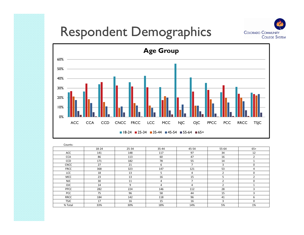



| Counts:     |                 |       |                |                |                |                |
|-------------|-----------------|-------|----------------|----------------|----------------|----------------|
|             | 18-24           | 25-34 | $35 - 44$      | 45-54          | 55-64          | $65+$          |
| ACC         | 141             | 148   | 117            | 97             | 34             | 12             |
| <b>CCA</b>  | 86              | 113   | 60             | 47             | 16             | 2              |
| CCD         | 171             | 182   | 78             | 55             | 14             |                |
| <b>CNCC</b> | 27              | 21    | 6              | 7              | 3              | 0              |
| <b>FRCC</b> | 368             | 323   | 147            | 121            | 53             | 4              |
| LCC         | 18              | 13    | 5              | 4              | $\overline{2}$ | $\Omega$       |
| <b>MCC</b>  | 23 <sub>2</sub> | 13    | 16             | 15             | 5 <sup>1</sup> | $\overline{2}$ |
| NJC         | 30              | 11    | 4              | $\overline{ }$ |                | $\Omega$       |
| OJC         | 14              | 9     | $\overline{4}$ | 4              | $\overline{2}$ |                |
| PPCC        | 282             | 224   | 146            | 112            | 28             |                |
| PCC         | 75              | 96    | 58             | 44             | 15             | ີ              |
| <b>RRCC</b> | 184             | 142   | 118            | 96             | 41             | 6              |
| <b>TSJC</b> | 17              | 16    | 15             | 16             | 3              | $\mathbf 0$    |
| % Total     | 33%             | 30%   | 18%            | 14%            | 5%             | 1%             |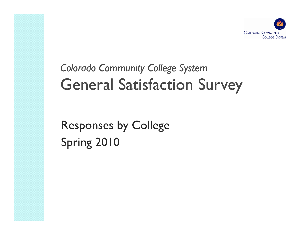

## *Colorado Community College System* General Satisfaction Survey

Responses by College Spring 2010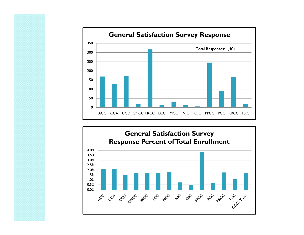

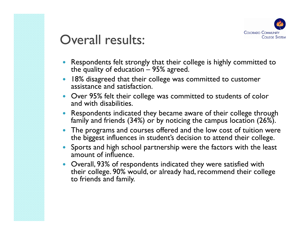

### Overall results:

- $\bullet$  Respondents felt strongly that their college is highly committed to the quality of education  $-$  95% agreed.
- 0 18% disagreed that their college was committed to customer assistance and satisfaction.
- Over 95% felt their college was committed to students of color and with disabilities.
- 0 Respondents indicated they became aware of their college through family and friends (34%) or by noticing the campus location (26%).
- $\bullet$  The programs and courses offered and the low cost of tuition were the biggest influences in student's decision to attend their college.
- $\bullet$  Sports and high school partnership were the factors with the least amount of influence.
- $\bullet$ Overall, 93% of respondents indicated they were satisfied with their college. 90% would, or already had, recommend their college to friends and family.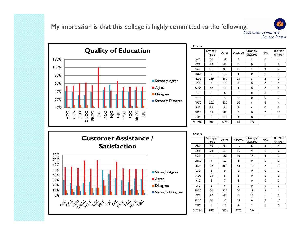My impression is that this college is highly committed to the following:<br>COLORADO COMMUNITY



| Counts:     |                   |       |                 |                      |                |                   |
|-------------|-------------------|-------|-----------------|----------------------|----------------|-------------------|
|             | Strongly<br>Agree | Agree | <b>Disagree</b> | Strongly<br>Disagree | N/A            | Did Not<br>Answer |
| <b>ACC</b>  | 70                | 89    | 4               | $\overline{2}$       | 0              | 4                 |
| <b>CCA</b>  | 49                | 69    | 8               | 0                    | $\mathbf{1}$   | $\overline{2}$    |
| <b>CCD</b>  | 51                | 99    | 11              | $\mathbf{1}$         | 3              | 6                 |
| <b>CNCC</b> | 5                 | 10    | $\mathbf{1}$    | 0                    | $\mathbf{1}$   | $\mathbf{1}$      |
| <b>FRCC</b> | 119               | 169   | 15              | 3                    | $\overline{2}$ | 9                 |
| LCC         | $\Omega$          | 13    | $\Omega$        | 0                    | $\Omega$       | $\mathbf{1}$      |
| <b>MCC</b>  | 12                | 14    | $\overline{1}$  | $\overline{0}$       | $\overline{0}$ | $\overline{2}$    |
| <b>NJC</b>  | 8                 | 6     | 0               | $\Omega$             | $\Omega$       | 0                 |
| <b>OJC</b>  | $\overline{2}$    | 4     | $\Omega$        | $\Omega$             | $\Omega$       | $\Omega$          |
| PPCC        | 102               | 122   | 10              | 4                    | 3              | 4                 |
| PCC         | 33                | 44    | 3               | 4                    | 0              | 5                 |
| <b>RRCC</b> | 69                | 82    | 5               | 0                    | $\overline{2}$ | 10                |
| <b>TSJC</b> | 8                 | 10    | $\mathbf{1}$    | $\Omega$             | $\mathbf{1}$   | 0                 |
| % Total     | 40%               | 55%   | 4%              | 1%                   |                |                   |

**COLLEGE SYSTEM** 



Counts: Strongly trongly | Agree | Disagree Strongly | N/A | Did Not<br>Agree | Agree | Disagree | Disagree | N/A | Answer ACC | 49 | 90 | 16 | 6 | 4 | 4  $\overline{4}$ CCA 1 29 1 69 1 15 1 9 1 5 1 2  $\overline{2}$ CCD 31 87 29 14 4 4 6 **CNCC**  4 11 1 0 1 1 FRCC 82 160 43 16 7 9LCC 2 9 2 0 0 1 0 1 MCC 13 8 5 0 1 <mark>1</mark> 2  $\sqrt{2}$ NJC 6 7 1 1 0 0 0 OJC | 2 | 4 | 0 | 0 | 0 | 0 PPCC 70 124 20 18 9 4 PCC 1 22 1 43 1 8 1 10 1 1 1 5 5 RRCC | 50 | 80 | 15 | 6 | 7 | 10 TSJC | 6 | 10 | 2 | 1 | 1 | 0 % Total 28% 54% 12% 6%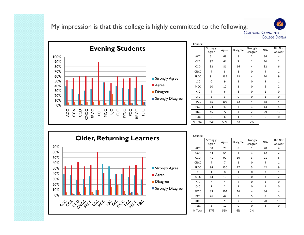My impression is that this college is highly committed to the following:



| Counts:     |                   |                 |                 |                      |                 |                   |
|-------------|-------------------|-----------------|-----------------|----------------------|-----------------|-------------------|
|             | Strongly<br>Agree | Agree           | <b>Disagree</b> | Strongly<br>Disagree | N/A             | Did Not<br>Answer |
| ACC         | 51                | 68              | 8               | $\overline{2}$       | 36              | 4                 |
| <b>CCA</b>  | 37                | 61              | $\overline{7}$  | $\overline{2}$       | 20              | $\overline{2}$    |
| CCD         | 32                | 81              | 16              | 4                    | 32              | 6                 |
| <b>CNCC</b> | 4                 | 8               | $\mathbf{1}$    | 0                    | 4               | $\mathbf{1}$      |
| <b>FRCC</b> | 81                | 135             | 18              | 4                    | 70              | 9                 |
| LCC         | 0                 | 9               | $\mathbf{1}$    | $\mathbf 0$          | 3               | $\mathbf{1}$      |
| <b>MCC</b>  | 10 <sub>1</sub>   | 10 <sup>°</sup> | $\mathbf{1}$    | $\overline{0}$       | $6 \overline{}$ | $\overline{2}$    |
| <b>NJC</b>  | 4                 | 6               | 3               | 0                    | $\mathbf{1}$    | 0                 |
| <b>OJC</b>  | $\overline{2}$    | 3               | 0               | $\mathbf 0$          | $\mathbf{1}$    | 0                 |
| <b>PPCC</b> | 65                | 102             | 12              | $\overline{4}$       | 58              | $\overline{4}$    |
| PCC         | 24                | 40              | 4               | 3                    | 13              | 5                 |
| <b>RRCC</b> | 46                | 77              | 4               | $\overline{2}$       | 29              | 10                |
| <b>TSJC</b> | 6                 | 6               | $\mathbf{1}$    | $\mathbf{1}$         | 6               | 0                 |
| % Total     | 35%               | 56%             | 7%              | 2%                   |                 |                   |

**COLLEGE SYSTEM** 



| Counts:     |                   |                 |                |                      |                |                   |
|-------------|-------------------|-----------------|----------------|----------------------|----------------|-------------------|
|             | Strongly<br>Agree | Agree           | Disagree       | Strongly<br>Disagree | N/A            | Did Not<br>Answer |
| ACC         | 58                | 78              | 8              | $\mathbf{1}$         | 20             | 4                 |
| <b>CCA</b>  | 44                | 64              | 4              | 3                    | 12             | $\overline{2}$    |
| CCD         | 41                | 90              | 10             | 3                    | 21             | 6                 |
| <b>CNCC</b> | 4                 | 7               | $\overline{2}$ | 0                    | 4              | $\mathbf{1}$      |
| <b>FRCC</b> | 94                | 150             | 17             | 5                    | 42             | 9                 |
| LCC         | $\mathbf{1}$      | 8               | $\mathbf{1}$   | 0                    | 3              | $\mathbf{1}$      |
| <b>MCC</b>  | 14                | 10 <sup>1</sup> | $\overline{0}$ | $\overline{0}$       | $\overline{3}$ | $\overline{2}$    |
| <b>NJC</b>  | $\overline{7}$    | 4               | $\overline{2}$ | 0                    | $\mathbf{1}$   | 0                 |
| <b>OJC</b>  | $\overline{2}$    | $\overline{2}$  | $\mathbf{1}$   | 0                    | $\mathbf{1}$   | 0                 |
| PPCC        | 83                | 104             | 16             | 4                    | 34             | 4                 |
| PCC         | 26                | 42              | 3              | 5                    | 8              | 5                 |
| <b>RRCC</b> | 51                | 78              | $\overline{7}$ | $\overline{2}$       | 20             | 10                |
| <b>TSJC</b> | 5                 | 12              | 0              | 0                    | 3              | 0                 |
| % Total     | 37%               | 55%             | 6%             | 2%                   |                |                   |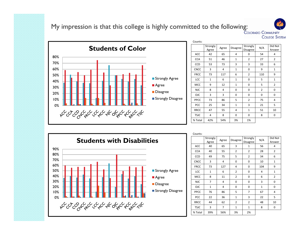My impression is that this college is highly committed to the following:



| Counts:     |                   |       |                 |                      |                |                   |
|-------------|-------------------|-------|-----------------|----------------------|----------------|-------------------|
|             | Strongly<br>Agree | Agree | <b>Disagree</b> | Strongly<br>Disagree | N/A            | Did Not<br>Answer |
| ACC         | 42                | 65    | 4               | 0                    | 54             | 4                 |
| <b>CCA</b>  | 51                | 46    | $\mathbf{1}$    | $\overline{2}$       | 27             | $\overline{2}$    |
| CCD         | 53                | 73    | 3               | 3                    | 33             | 6                 |
| <b>CNCC</b> | 3                 | 4     | $\mathbf{1}$    | 0                    | 9              | $\mathbf{1}$      |
| <b>FRCC</b> | 73                | 117   | 6               | $\overline{2}$       | 110            | 9                 |
| LCC         | $\mathbf{1}$      | 6     | $\mathbf{1}$    | 0                    | 5              | $\mathbf{1}$      |
| <b>MCC</b>  | $\overline{9}$    | 12    | $\overline{1}$  | $\overline{0}$       | $\overline{5}$ | $\overline{2}$    |
| <b>NJC</b>  | 8                 | 4     | $\mathbf 0$     | 0                    | $\overline{2}$ | 0                 |
| OJC         | 3                 | 3     | 0               | 0                    | 0              | 0                 |
| PPCC        | 73                | 86    | 5               | $\overline{2}$       | 75             | 4                 |
| PCC         | 25                | 34    | $\mathbf{1}$    | 3                    | 21             | 5                 |
| <b>RRCC</b> | 47                | 55    | 4               | $\mathbf{1}$         | 51             | 10                |
| <b>TSJC</b> | 4                 | 8     | 0               | 0                    | 8              | 0                 |
| % Total     | 42%               | 54%   | 3%              | 1%                   |                |                   |

**COLLEGE SYSTEM** 

Counts:



| Counto.     |                         |       |                |                      |                 |                   |
|-------------|-------------------------|-------|----------------|----------------------|-----------------|-------------------|
|             | Strongly<br>Agree       | Agree | Disagree       | Strongly<br>Disagree | N/A             | Did Not<br>Answer |
|             |                         |       |                |                      |                 |                   |
| ACC         | 40                      | 65    | 3              | $\mathbf{1}$         | 56              | 4                 |
| <b>CCA</b>  | 40                      | 55    | $\overline{2}$ | $\overline{2}$       | 28              | $\overline{2}$    |
| <b>CCD</b>  | 49                      | 75    | 5              | $\overline{2}$       | 34              | 6                 |
| <b>CNCC</b> | 3                       | 4     | 0              | 0                    | 10              | $\mathbf{1}$      |
| <b>FRCC</b> | 73                      | 127   | $\overline{4}$ | 0                    | 104             | 9                 |
| LCC         | $\mathbf{1}$            | 6     | $\overline{2}$ | 0                    | 4               | $\mathbf{1}$      |
| <b>MCC</b>  | $\overline{\mathbf{8}}$ | 11    | $\overline{2}$ | $\overline{0}$       | $6 \overline{}$ | $\overline{2}$    |
| <b>NJC</b>  | $\overline{7}$          | 4     | 0              | 0                    | 3               | 0                 |
| <b>OJC</b>  | $\mathbf{1}$            | 4     | 0              | 0                    | $\mathbf{1}$    | $\mathbf 0$       |
| PPCC        | 76                      | 86    | 5              | 7                    | 67              | 4                 |
| PCC         | 22                      | 36    | $\mathbf{1}$   | 3                    | 22              | 5                 |
| <b>RRCC</b> | 44                      | 62    | $\overline{2}$ | $\overline{2}$       | 48              | 10                |
| <b>TSJC</b> | 3                       | 7     | $\mathbf{1}$   | $\mathbf{1}$         | 8               | 0                 |
| % Total     | 39%                     | 56%   | 3%             | 2%                   |                 |                   |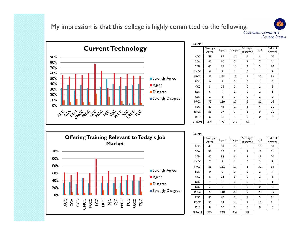My impression is that this college is highly committed to the following:



| Counts:     |                   |       |                |                             |              |                   |
|-------------|-------------------|-------|----------------|-----------------------------|--------------|-------------------|
|             | Strongly<br>Agree | Agree | Disagree       | Strongly<br><b>Disagree</b> | N/A          | Did Not<br>Answer |
| ACC         | 49                | 87    | 14             | $\mathbf{1}$                | 8            | 10                |
| <b>CCA</b>  | 42                | 60    | 7              | $\overline{2}$              | 7            | 11                |
| <b>CCD</b>  | 41                | 85    | 18             | $\overline{2}$              | 5            | 20                |
| <b>CNCC</b> | 6                 | 9     | $\mathbf{1}$   | 0                           | $\mathbf{1}$ | $\mathbf{1}$      |
| <b>FRCC</b> | 85                | 158   | 16             | 5                           | 20           | 33                |
| LCC         | 0                 | 7     | $\overline{2}$ | $\Omega$                    | $\mathbf{1}$ | 4                 |
| <b>MCC</b>  | $\overline{8}$    | 15    | $\overline{0}$ | $\overline{0}$              | $\mathbf{1}$ | $\overline{5}$    |
| <b>NJC</b>  | 6                 | 4     | $\overline{2}$ | 0                           | $\mathbf{1}$ | $\mathbf{1}$      |
| <b>OJC</b>  | $\overline{2}$    | 3     | 0              | $\Omega$                    | $\mathbf{1}$ | 0                 |
| <b>PPCC</b> | 75                | 110   | 17             | 6                           | 21           | 16                |
| PCC         | 27                | 43    | $\mathbf{1}$   | 3                           | 4            | 11                |
| <b>RRCC</b> | 53                | 77    | 7              | $\mathbf{1}$                | 9            | 21                |
| <b>TSJC</b> | 8                 | 11    | $\mathbf{1}$   | $\Omega$                    | 0            | 0                 |
| % Total     | 35%               | 57%   | 7%             | 2%                          |              |                   |

**COLLEGE SYSTEM** 



| Counts:     |                   |       |                 |                      |                |                   |
|-------------|-------------------|-------|-----------------|----------------------|----------------|-------------------|
|             | Strongly<br>Agree | Agree | <b>Disagree</b> | Strongly<br>Disagree | N/A            | Did Not<br>Answer |
| ACC         | 49                | 89    | 5               | 0                    | 16             | 10                |
| <b>CCA</b>  | 39                | 59    | 8               | $\mathbf{1}$         | 11             | 11                |
| <b>CCD</b>  | 40                | 84    | 6               | $\overline{2}$       | 19             | 20                |
| <b>CNCC</b> | 7                 | 7     | $\mathbf{1}$    | 0                    | 2              | $\mathbf{1}$      |
| <b>FRCC</b> | 83                | 151   | 17              | $\overline{2}$       | 31             | 33                |
| LCC         | 0                 | 9     | 0               | 0                    | $\mathbf{1}$   | 4                 |
| <b>MCC</b>  | $\overline{8}$    | 12    | $\overline{3}$  | $\overline{0}$       | $\overline{1}$ | $\overline{5}$    |
| <b>NJC</b>  | 4                 | 8     | $\Omega$        | 0                    | $\mathbf{1}$   | $\mathbf{1}$      |
| <b>OJC</b>  | $\overline{2}$    | 3     | $\mathbf{1}$    | 0                    | 0              | 0                 |
| PPCC        | 71                | 110   | 20              | 5                    | 23             | 16                |
| <b>PCC</b>  | 30                | 40    | $\overline{2}$  | $\mathbf{1}$         | 5              | 11                |
| <b>RRCC</b> | 53                | 73    | 4               | $\mathbf{1}$         | 10             | 21                |
| <b>TSJC</b> | 8                 | 10    | $\overline{2}$  | 0                    | 0              | 0                 |
| % Total     | 35%               | 58%   | 6%              | 1%                   |                |                   |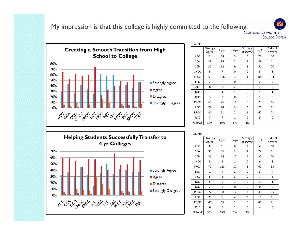My impression is that this college is highly committed to the following:<br>COLORADO COMMUNITY

**Creating a Smooth Transition from High School to College** 80%70%60%50%Strongly Agree 40%**Agree** 30%**Disagree** 20%10% PPCC 63 76 11 6 73 16 St l Di Strongly Disagree 0%مول ره می دل دل ره مول مهره دل دل دل دل

| Counts:     |                   |                |                 |                      |                |                   |
|-------------|-------------------|----------------|-----------------|----------------------|----------------|-------------------|
|             | Strongly<br>Agree | Agree          | <b>Disagree</b> | Strongly<br>Disagree | N/A            | Did Not<br>Answer |
| <b>ACC</b>  | 24                | 54             | 5               | 0                    | 76             | 10                |
| <b>CCA</b>  | 33                | 39             | $\overline{2}$  | $\mathbf{1}$         | 43             | 11                |
| CCD         | 27                | 62             | 9               | $\overline{2}$       | 51             | 20                |
| <b>CNCC</b> | 5                 | 7              | 0               | 0                    | 5              | $\mathbf{1}$      |
| <b>FRCC</b> | 59                | 106            | 10              | $\mathbf{1}$         | 108            | 33                |
| LCC         | $\overline{2}$    | 6              | 0               | $\Omega$             | $\overline{2}$ | 4                 |
| <b>MCC</b>  | $\overline{8}$    | $\overline{3}$ | $\overline{2}$  | $\overline{0}$       | 11             | $\overline{5}$    |
|             |                   |                |                 |                      |                |                   |
| <b>NJC</b>  | 7                 | 4              | $\mathbf{1}$    | 0                    | $\mathbf{1}$   | $\mathbf{1}$      |
| <b>OJC</b>  | 3                 | $\overline{2}$ | 0               | 0                    | $\mathbf{1}$   | 0                 |
| <b>PPCC</b> | 63                | 76             | 11              | 6                    | 73             | 16                |
| <b>PCC</b>  | 22                | 24             | 3               | 3                    | 26             | 11                |
| <b>RRCC</b> | 31                | 51             | $\overline{2}$  | $\mathbf{1}$         | 62             | 21                |
| <b>TSJC</b> | 7                 | 7              | $\mathbf{1}$    | 0                    | 5              | 0                 |
| % Total     | 37%               | 56%            | 6%              | 2%                   |                |                   |

**COLLEGE SYSTEM** 



| CUUIILS.    |                   |       |                 |                      |                |                   |
|-------------|-------------------|-------|-----------------|----------------------|----------------|-------------------|
|             | Strongly<br>Agree | Agree | <b>Disagree</b> | Strongly<br>Disagree | N/A            | Did Not<br>Answer |
| ACC         | 33                | 61    | 6               | 2                    | 57             | 10                |
| <b>CCA</b>  | 35                | 56    | $\overline{2}$  | $\mathbf{1}$         | 24             | 11                |
| CCD         | 36                | 64    | 12              | 4                    | 35             | 20                |
| <b>CNCC</b> | 5                 | 5     | $\mathbf{1}$    | 0                    | 6              | $\mathbf{1}$      |
| <b>FRCC</b> | 72                | 128   | 17              | 5                    | 62             | 33                |
| LCC         | $\mathbf{1}$      | 4     | $\overline{2}$  | 0                    | 3              | 4                 |
| MCC         | 6                 | 8     | 3               | 0                    | $\overline{7}$ | 5                 |
| <b>NJC</b>  | 5                 | 4     | $\mathbf{1}$    | 0                    | 3              | $\mathbf{1}$      |
| <b>OJC</b>  | $\overline{2}$    | 4     | 0               | 0                    | 0              | 0                 |
| PPCC        | 77                | 88    | 12              | 7                    | 45             | 16                |
| PCC         | 25                | 31    | 4               | 3                    | 15             | 11                |
| <b>RRCC</b> | 40                | 65    | $\overline{2}$  | 0                    | 40             | 21                |
| <b>TSJC</b> | 6                 | 9     | $\mathbf{1}$    | 0                    | 4              | 0                 |
| % Total     | 36%               | 55%   | 7%              | 2%                   |                |                   |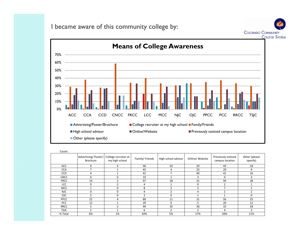I became aware of this community college by:





| Count:      |                                        |                                        |                |                     |                 |                                       |                           |
|-------------|----------------------------------------|----------------------------------------|----------------|---------------------|-----------------|---------------------------------------|---------------------------|
|             | Advertising/Poster/<br><b>Brochure</b> | College recruiter at<br>my high school | Family/Friends | High school advisor | Online/ Website | Previously noticed<br>campus location | Other (please<br>specify) |
| ACC         | 9                                      | 4                                      | 46             | 10                  | 29              | 43                                    | 18                        |
| <b>CCA</b>  |                                        |                                        | 45             | 4                   | 23              | 29                                    | 9                         |
| <b>CCD</b>  | 4                                      |                                        | 42             | $\overline{ }$      | 40              | 41                                    | 16                        |
| <b>CNCC</b> | 0                                      |                                        | 10             |                     | 3               | $\mathbf 0$                           | 3                         |
| <b>FRCC</b> | 14                                     |                                        | 97             | 18                  | 31              | 94                                    | 28                        |
| <b>LCC</b>  | 0                                      |                                        | 4              |                     | 0               | 2                                     |                           |
| MCC         |                                        | 0                                      | 8              |                     |                 |                                       |                           |
| <b>NJC</b>  | 0                                      | 0                                      | 4              |                     | 4               |                                       |                           |
| <b>OJC</b>  |                                        | $\Omega$                               | $\mathcal{P}$  | 0                   |                 |                                       | 0                         |
| <b>PPCC</b> | 22                                     | 4                                      | 80             | 11                  | 31              | 56                                    | 25                        |
| <b>PCC</b>  | 12                                     |                                        | 29             | $\Omega$            | 5               | 20                                    | 11                        |
| <b>RRCC</b> | 5                                      |                                        | 49             | 10                  | 30              | 33                                    | 18                        |
| <b>TSJC</b> | 2                                      |                                        | 6              | $\overline{2}$      | $\mathcal{P}$   | 4                                     | 3                         |
| % Total     | 6%                                     | 1%                                     | 34%            | 5%                  | 17%             | 26%                                   | 11%                       |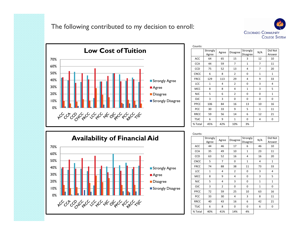



| Counts:     |                   |       |                 |                      |                |                   |
|-------------|-------------------|-------|-----------------|----------------------|----------------|-------------------|
|             | Strongly<br>Agree | Agree | <b>Disagree</b> | Strongly<br>Disagree | N/A            | Did Not<br>Answer |
| <b>ACC</b>  | 64                | 65    | 15              | 3                    | 12             | 10                |
| <b>CCA</b>  | 44                | 59    | 7               | $\mathbf{1}$         | $\overline{7}$ | 11                |
| CCD         | 75                | 52    | 13              | 4                    | $\overline{7}$ | 20                |
| <b>CNCC</b> | 6                 | 8     | $\overline{2}$  | $\Omega$             | $\mathbf{1}$   | $\mathbf{1}$      |
| <b>FRCC</b> | 129               | 113   | 29              | 4                    | 9              | 33                |
| LCC         | $\mathbf{1}$      | 4     | $\overline{2}$  | 0                    | 3              | 4                 |
| MCC         | 8                 | 8     | 4               | $\mathbf{1}$         | 3              | 5                 |
| <b>NJC</b>  | 5                 | 6     | $\overline{2}$  | 0                    | 0              | 1                 |
| <b>OJC</b>  | 3                 | 3     | 0               | 0                    | $\Omega$       | 0                 |
| PPCC        | 106               | 84    | 16              | 13                   | 10             | 16                |
| PCC         | 30                | 33    | 9               | 5                    | $\mathbf{1}$   | 11                |
| <b>RRCC</b> | 59                | 56    | 14              | 6                    | 12             | 21                |
| <b>TSJC</b> | 6                 | 9     | $\mathbf{1}$    | 0                    | 4              | 0                 |
| % Total     | 45%               | 42%   | 10%             | 3%                   |                |                   |



| Counts:     |                   |                |                 |                      |              |                   |
|-------------|-------------------|----------------|-----------------|----------------------|--------------|-------------------|
|             | Strongly<br>Agree | Agree          | <b>Disagree</b> | Strongly<br>Disagree | N/A          | Did Not<br>Answer |
| ACC         | 44                | 46             | 17              | 6                    | 46           | 10                |
| <b>CCA</b>  | 35                | 49             | 10              | $\mathbf{1}$         | 23           | 11                |
| CCD         | 63                | 52             | 16              | 4                    | 16           | 20                |
| <b>CNCC</b> | 5                 | 7              | 0               | $\mathbf{1}$         | 4            | $\mathbf{1}$      |
| <b>FRCC</b> | 74                | 88             | 38              | 11                   | 73           | 33                |
| LCC         | $\mathbf{1}$      | 4              | $\overline{2}$  | 0                    | 3            | 4                 |
| <b>MCC</b>  | 8                 | 9              | 4               | 0                    | 3            | 5                 |
| <b>NJC</b>  | 5                 | 4              | 3               | 0                    | $\mathbf{1}$ | $\mathbf{1}$      |
| OJC         | 3                 | $\overline{2}$ | 0               | 0                    | $\mathbf{1}$ | 0                 |
| PPCC        | 72                | 59             | 25              | 10                   | 63           | 16                |
| PCC         | 33                | 30             | 4               | 3                    | 8            | 11                |
| <b>RRCC</b> | 40                | 43             | 16              | 6                    | 42           | 21                |
| <b>TSJC</b> | 6                 | 8              | 0               | 0                    | 6            | 0                 |
| % Total     | 40%               | 41%            | 14%             | 4%                   |              |                   |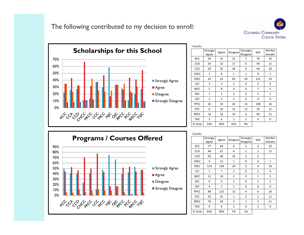



| Counts:     |                   |                |                 |                      |              |                   |
|-------------|-------------------|----------------|-----------------|----------------------|--------------|-------------------|
|             | Strongly<br>Agree | Agree          | <b>Disagree</b> | Strongly<br>Disagree | N/A          | Did Not<br>Answer |
| ACC         | 20                | 31             | 31              | 7                    | 70           | 10                |
| <b>CCA</b>  | 19                | 32             | 17              | 6                    | 44           | 11                |
| CCD         | 29                | 35             | 34              | 9                    | 44           | 20                |
| <b>CNCC</b> | $\mathbf{1}$      | 6              | $\mathbf{1}$    | $\mathbf{1}$         | 8            | $\mathbf{1}$      |
| <b>FRCC</b> | 22                | 52             | 69              | 20                   | 121          | 33                |
| LCC         | 3                 | 3              | $\overline{2}$  | 0                    | 2            | 4                 |
| <b>MCC</b>  | 5                 | 8              | 4               | $\mathbf 0$          | 7            | 5                 |
| <b>NJC</b>  | 7                 | 2              | 3               | 0                    | $\mathbf{1}$ | $\mathbf{1}$      |
| <b>OJC</b>  | $\overline{2}$    | $\overline{2}$ | $\overline{2}$  | $\Omega$             | 0            | 0                 |
| PPCC        | 34                | 32             | 42              | 13                   | 108          | 16                |
| PCC         | 6                 | 24             | 13              | 12                   | 23           | 11                |
| <b>RRCC</b> | 16                | 32             | 24              | 6                    | 69           | 21                |
| <b>TSJC</b> | 3                 | 6              | $\mathbf{1}$    | $\mathbf{1}$         | 9            | 0                 |
| % Total     | 23%               | 36%            | 33%             | 9%                   |              |                   |



| Counts:     |                   |                |                 |                      |                |                   |
|-------------|-------------------|----------------|-----------------|----------------------|----------------|-------------------|
|             | Strongly<br>Agree | Agree          | <b>Disagree</b> | Strongly<br>Disagree | N/A            | Did Not<br>Answer |
| ACC         | 77                | 69             | 9               | $\mathbf{1}$         | 3              | 10                |
| <b>CCA</b>  | 48                | 61             | 6               | $\mathbf{1}$         | $\overline{2}$ | 11                |
| CCD         | 59                | 68             | 16              | 3                    | 5              |                   |
| <b>CNCC</b> | 4                 | 12             | $\mathbf{1}$    | 0                    | 0              | 1                 |
| <b>FRCC</b> | 114               | 139            | 24              | 3                    | 4              | 33                |
| LCC         | $\mathbf{1}$      | 7              | $\mathbf{1}$    | 0                    | $\mathbf{1}$   | 4                 |
| <b>MCC</b>  | 11                | 10             | $\overline{2}$  | 0                    | $\mathbf{1}$   | 5                 |
| <b>NJC</b>  | 9                 | $\overline{2}$ | $\mathbf{1}$    | 0                    | $\mathbf{1}$   | $\mathbf{1}$      |
| <b>OJC</b>  | 4                 | $\mathbf{1}$   | $\mathbf{1}$    | 0                    | 0              | 0                 |
| PPCC        | 89                | 115            | 15              | 4                    | 6              | 16                |
| PCC         | 33                | 41             | $\mathbf{1}$    | $\overline{2}$       | $\mathbf{1}$   | 11                |
| <b>RRCC</b> | 76                | 64             | 3               | $\mathbf{1}$         | 3              | 21                |
| <b>TSJC</b> | 9                 | 9              | $\mathbf 1$     | 0                    | $\mathbf{1}$   | 0                 |
| % Total     | 43%               | 49%            | 7%              | 1%                   |                |                   |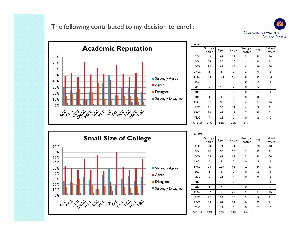



| Counts:     |                   |       |                |                      |                |                   |
|-------------|-------------------|-------|----------------|----------------------|----------------|-------------------|
|             | Strongly<br>Agree | Agree | Disagree       | Strongly<br>Disagree | N/A            | Did Not<br>Answer |
| <b>ACC</b>  | 42                | 67    | 22             | 5                    | 23             | 10                |
| <b>CCA</b>  | 25                | 54    | 20             | $\mathbf{1}$         | 18             | 11                |
| <b>CCD</b>  | 30                | 62    | 36             | 4                    | 19             | 20                |
| <b>CNCC</b> | $\mathbf{1}$      | 8     | $\mathbf{1}$   | $\mathbf{1}$         | 6              | 1                 |
| <b>FRCC</b> | 54                | 123   | 54             | 8                    | 45             | 33                |
| LCC         | 0                 | 5     | 3              | 0                    | $\overline{2}$ | 4                 |
| <b>MCC</b>  | 7                 | 10    | $\overline{2}$ | 0                    | 5              | 5                 |
| <b>NJC</b>  | 6                 | 5     | $\mathbf{1}$   | 0                    | $\mathbf{1}$   | $\mathbf{1}$      |
| <b>OJC</b>  | $\mathbf{1}$      | 4     | $\mathbf{1}$   | $\Omega$             | 0              | 0                 |
| PPCC        | 60                | 99    | 29             | 4                    | 37             | 16                |
| PCC         | 21                | 33    | 11             | 4                    | 9              | 11                |
| <b>RRCC</b> | 33                | 67    | 17             | $\overline{7}$       | 23             | 21                |
| <b>TSJC</b> | 4                 | 13    | $\mathbf{1}$   | 0                    | $\overline{2}$ | 0                 |
| % Total     | 27%               | 51%   | 19%            | 3%                   |                |                   |



| Counts:     |                   |       |                 |                      |                |                   |
|-------------|-------------------|-------|-----------------|----------------------|----------------|-------------------|
|             | Strongly<br>Agree | Agree | <b>Disagree</b> | Strongly<br>Disagree | N/A            | Did Not<br>Answer |
| <b>ACC</b>  | 34                | 71    | 21              | 3                    | 30             | 10                |
| <b>CCA</b>  | 26                | 53    | 23              | $\mathbf{1}$         | 15             | 11                |
| <b>CCD</b>  | 24                | 61    | 38              | 5                    | 23             | 20                |
| <b>CNCC</b> | 4                 | 8     | 0               | 0                    | 5              | $\mathbf{1}$      |
| <b>FRCC</b> | 73                | 119   | 48              | 10                   | 34             | 33                |
| LCC         | $\mathbf{1}$      | 6     | $\mathbf{1}$    | 0                    | $\overline{2}$ | 4                 |
| <b>MCC</b>  | 9                 | 11    | 4               | 0                    | 0              | 5                 |
| <b>NJC</b>  | 6                 | 3     | $\overline{2}$  | $\mathbf{1}$         | $\mathbf{1}$   | $\mathbf{1}$      |
| <b>OJC</b>  | 1                 | 4     | 0               | 0                    | $\mathbf{1}$   | 0                 |
| PPCC        | 57                | 101   | 29              | 5                    | 37             | 16                |
| PCC         | 26                | 34    | 10              | 3                    | 5              | 11                |
| <b>RRCC</b> | 33                | 62    | 21              | 6                    | 25             | 21                |
| <b>TSJC</b> | 6                 | 12    | 0               | 0                    | $\overline{2}$ | 0                 |
| % Total     | 28%               | 50%   | 19%             | 3%                   |                |                   |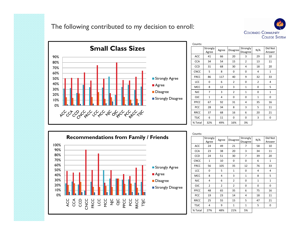



| Counts:     |                   |                |                |                             |                |                   |
|-------------|-------------------|----------------|----------------|-----------------------------|----------------|-------------------|
|             | Strongly<br>Agree | Agree          | Disagree       | Strongly<br><b>Disagree</b> | N/A            | Did Not<br>Answer |
| <b>ACC</b>  | 41                | 66             | 20             | 3                           | 29             | 10                |
| <b>CCA</b>  | 34                | 54             | 15             | $\overline{2}$              | 13             | 11                |
| CCD         | 31                | 68             | 30             | 4                           | 18             | 20                |
| <b>CNCC</b> | 5                 | 8              | 0              | 0                           | 4              | $\mathbf{1}$      |
| <b>FRCC</b> | 86                | 117            | 40             | 9                           | 32             | 33                |
| LCC         | 0                 | 6              | $\overline{2}$ | 0                           | $\overline{2}$ | 4                 |
| <b>MCC</b>  | 8                 | 12             | 3              | $\mathbf{1}$                | 0              | 5                 |
| <b>NJC</b>  | 7                 | 3              | $\overline{2}$ | $\mathbf{1}$                | 0              | $\mathbf{1}$      |
| <b>OJC</b>  | $\mathbf{1}$      | $\overline{4}$ | 0              | 0                           | $\mathbf{1}$   | 0                 |
| PPCC        | 67                | 92             | 31             | 4                           | 35             | 16                |
| PCC         | 28                | 34             | 8              | 3                           | 5              | 11                |
| <b>RRCC</b> | 37                | 68             | 16             | 6                           | 20             | 21                |
| <b>TSJC</b> | 6                 | 11             | 0              | 0                           | 3              | 0                 |
| % Total     | 32%               | 49%            | 16%            | 3%                          |                |                   |



| Counts:     |                   |                |                 |                      |              |                   |
|-------------|-------------------|----------------|-----------------|----------------------|--------------|-------------------|
|             | Strongly<br>Agree | Agree          | <b>Disagree</b> | Strongly<br>Disagree | N/A          | Did Not<br>Answer |
| ACC         | 24                | 49             | 21              | 7                    | 58           | 10                |
| <b>CCA</b>  | 23                | 38             | 20              | 3                    | 34           | 11                |
| <b>CCD</b>  | 24                | 51             | 30              | 7                    | 39           | 20                |
| <b>CNCC</b> | $\mathbf{1}$      | 10             | 0               | $\mathbf 0$          | 6            | $\mathbf{1}$      |
| <b>FRCC</b> | 56                | 105            | 35              | 12                   | 76           | 33                |
| LCC         | 0                 | 5              | 1               | 0                    | 4            | 4                 |
| <b>MCC</b>  | 8                 | 4              | 3               | $\mathbf{1}$         | 8            | 5                 |
| <b>NJC</b>  | 4                 | 6              | $\overline{2}$  | 0                    | $\mathbf{1}$ | $\mathbf{1}$      |
| <b>OJC</b>  | $\overline{2}$    | $\overline{2}$ | $\overline{2}$  | 0                    | 0            | 0                 |
| PPCC        | 48                | 65             | 35              | 6                    | 75           | 16                |
| PCC         | 19                | 23             | 14              | 4                    | 18           | 11                |
| <b>RRCC</b> | 25                | 55             | 15              | 5                    | 47           | 21                |
| <b>TSJC</b> | 4                 | 9              | 1               | $\mathbf{1}$         | 5            | 0                 |
| % Total     | 27%               | 48%            | 21%             | 5%                   |              |                   |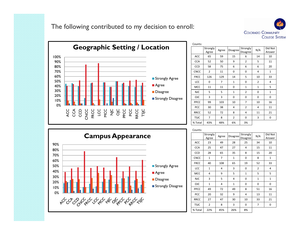



|             | Strongly<br>Agree | Agree          | Disagree       | Strongly<br>Disagree | N/A            | Did Not<br>Answer |
|-------------|-------------------|----------------|----------------|----------------------|----------------|-------------------|
| ACC         | 65                | 59             | 15             | 6                    | 14             | 10                |
| <b>CCA</b>  | 52                | 50             | 9              | $\overline{2}$       | 5              | 11                |
| <b>CCD</b>  | 58                | 75             | 6              | 6                    | 6              | 20                |
| <b>CNCC</b> | $\overline{2}$    | 11             | 0              | $\mathbf 0$          | 4              | 1                 |
| <b>FRCC</b> | 126               | 129            | 14             | 5                    | 10             | 33                |
| LCC         | 0                 | $\overline{7}$ | $\mathbf{1}$   | 0                    | $\overline{2}$ | 4                 |
| <b>MCC</b>  | 11                | 11             | 0              | $\mathbf{1}$         | $\mathbf{1}$   | 5                 |
| <b>NJC</b>  | 5                 | 5              | $\mathbf{1}$   | $\overline{2}$       | 0              | $\mathbf{1}$      |
| <b>OJC</b>  | 3                 | 3              | 0              | $\mathbf 0$          | 0              | 0                 |
| <b>PPCC</b> | 99                | 103            | 10             | 7                    | 10             | 16                |
| PCC         | 30                | 38             | 4              | $\overline{2}$       | 4              | 11                |
| <b>RRCC</b> | 52                | 72             | 8              | 4                    | 11             | 21                |
| <b>TSJC</b> | $\overline{7}$    | 8              | $\overline{2}$ | $\mathbf 0$          | 3              | 0                 |
| % Total     | 43%               | 48%            | 6%             | 3%                   |                |                   |



| Counts:     |                   |       |                 |                      |              |                   |
|-------------|-------------------|-------|-----------------|----------------------|--------------|-------------------|
|             | Strongly<br>Agree | Agree | <b>Disagree</b> | Strongly<br>Disagree | N/A          | Did Not<br>Answer |
| ACC         | 23                | 49    | 28              | 25                   | 34           | 10                |
| <b>CCA</b>  | 25                | 47    | 27              | 4                    | 15           | 11                |
| CCD         | 28                | 65    | 35              | 8                    | 15           | 20                |
| <b>CNCC</b> | $\mathbf{1}$      | 7     | $\mathbf{1}$    | 0                    | 8            | $\mathbf{1}$      |
| <b>FRCC</b> | 40                | 108   | 65              | 19                   | 52           | 33                |
| LCC         | $\mathbf{1}$      | 4     | 3               | 0                    | 2            | 4                 |
| MCC         | 4                 | 9     | 5               | $\mathbf{1}$         | 5            | 5                 |
| <b>NJC</b>  | 3                 | 5     | 4               | 0                    | $\mathbf{1}$ | $\mathbf{1}$      |
| <b>OJC</b>  | $\mathbf{1}$      | 4     | $\mathbf{1}$    | 0                    | 0            | 0                 |
| PPCC        | 49                | 72    | 49              | 8                    | 51           | 16                |
| PCC         | 20                | 32    | 9               | 4                    | 13           | 11                |
| <b>RRCC</b> | 27                | 47    | 30              | 10                   | 33           | 21                |
| <b>TSJC</b> | $\overline{2}$    | 8     | 3               | 0                    | 7            | 0                 |
| % Total     | 22%               | 45%   | 26%             | 8%                   |              |                   |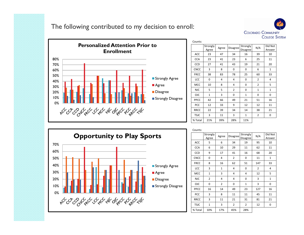



| Counts:     |                   |       |                 |                      |                |                   |
|-------------|-------------------|-------|-----------------|----------------------|----------------|-------------------|
|             | Strongly<br>Agree | Agree | <b>Disagree</b> | Strongly<br>Disagree | N/A            | Did Not<br>Answer |
| ACC         | 23                | 47    | 34              | 16                   | 39             | 10                |
| <b>CCA</b>  | 23                | 41    | 23              | 6                    | 25             | 11                |
| <b>CCD</b>  | 27                | 41    | 43              | 19                   | 21             | 20                |
| <b>CNCC</b> | 3                 | 8     | 0               | $\mathbf 0$          | 6              | $\mathbf{1}$      |
| <b>FRCC</b> | 38                | 83    | 78              | 25                   | 60             | 33                |
| LCC         | 0                 | 4     | 4               | $\mathbf 0$          | $\overline{2}$ | 4                 |
| <b>MCC</b>  | 10                | 8     | 4               | $\mathbf 0$          | $\overline{2}$ | 5                 |
| <b>NJC</b>  | 5                 | 5     | $\overline{2}$  | $\mathbf 0$          | $\mathbf{1}$   | $\mathbf{1}$      |
| <b>OJC</b>  | $\mathbf{1}$      | 3     | 0               | $\mathbf{1}$         | 0              | 0                 |
| PPCC        | 42                | 66    | 49              | 21                   | 51             | 16                |
| PCC         | 12                | 33    | 9               | 12                   | 12             | 11                |
| <b>RRCC</b> | 22                | 39    | 34              | 14                   | 38             | 21                |
| <b>TSJC</b> | 3                 | 11    | 3               | $\mathbf{1}$         | $\overline{2}$ | 0                 |
| % Total     | 21%               | 39%   | 28%             | 11%                  |                |                   |



| Counts:     |                   |                |          |                      |                |                   |
|-------------|-------------------|----------------|----------|----------------------|----------------|-------------------|
|             | Strongly<br>Agree | Agree          | Disagree | Strongly<br>Disagree | N/A            | Did Not<br>Answer |
| <b>ACC</b>  | 5                 | 6              | 34       | 19                   | 95             | 10                |
| <b>CCA</b>  | 6                 | 10             | 29       | 11                   | 62             | 11                |
| CCD         | 9                 | 17             | 41       | 16                   | 68             | 20                |
| <b>CNCC</b> | 0                 | 4              | 2        | 0                    | 11             | $\mathbf{1}$      |
| <b>FRCC</b> | 8                 | 16             | 62       | 51                   | 147            | 33                |
| LCC         | 3                 | $\mathbf{1}$   | 4        | 0                    | $\overline{2}$ | 4                 |
| MCC         | $\mathbf{1}$      | 3              | 4        | 4                    | 12             | 5                 |
| <b>NJC</b>  | $\overline{2}$    | 4              | 4        | 0                    | 3              | $\mathbf{1}$      |
| <b>OJC</b>  | 0                 | $\overline{2}$ | 0        | $\mathbf{1}$         | 3              | 0                 |
| PPCC        | 16                | 14             | 49       | 23                   | 127            | 16                |
| <b>PCC</b>  | 3                 | 8              | 11       | 11                   | 45             | 11                |
| <b>RRCC</b> | 3                 | 11             | 21       | 31                   | 81             | 21                |
| <b>TSJC</b> | 1                 | 3              | 2        | 2                    | 12             | 0                 |
| % Total     | 10%               | 17%            | 45%      | 28%                  |                |                   |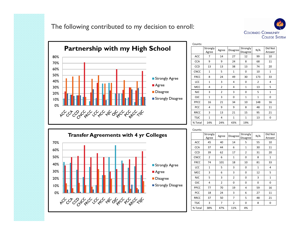



| Counts:     |                   |                |                 |                      |                |                   |
|-------------|-------------------|----------------|-----------------|----------------------|----------------|-------------------|
|             | Strongly<br>Agree | Agree          | <b>Disagree</b> | Strongly<br>Disagree | N/A            | Did Not<br>Answer |
| ACC         | 7                 | 14             | 27              | 12                   | 99             | 10                |
| <b>CCA</b>  | 9                 | 9              | 24              | 8                    | 68             | 11                |
| <b>CCD</b>  | 13                | 13             | 38              | 13                   | 74             | 20                |
| <b>CNCC</b> | $\mathbf{1}$      | 5              | $\mathbf{1}$    | 0                    | 10             | 1                 |
| <b>FRCC</b> | 8                 | 24             | 49              | 30                   | 173            | 33                |
| LCC         | $\mathbf{1}$      | 3              | 4               | 0                    | $\overline{2}$ | 4                 |
| MCC         | 4                 | $\overline{2}$ | 4               | $\mathbf{1}$         | 13             | 5                 |
| <b>NJC</b>  | 3                 | $\overline{2}$ | 3               | 0                    | 5              | $\mathbf{1}$      |
| <b>OJC</b>  | $\mathbf{1}$      | 3              | 0               | $\mathbf{1}$         | $\mathbf{1}$   | 0                 |
| PPCC        | 16                | 21             | 34              | 10                   | 148            | 16                |
| PCC         | 4                 | 9              | 9               | 8                    | 48             | 11                |
| <b>RRCC</b> | 3                 | 13             | 21              | 15                   | 95             | 21                |
| <b>TSJC</b> | $\mathbf{1}$      | 4              | $\mathbf{1}$    | $\mathbf{1}$         | 13             | 0                 |
| % Total     | 14%               | 24%            | 43%             | 19%                  |                |                   |



|             | Strongly<br>Agree | Agree          | <b>Disagree</b> | Strongly<br>Disagree | N/A          | Did Not<br>Answer |
|-------------|-------------------|----------------|-----------------|----------------------|--------------|-------------------|
| ACC         | 45                | 40             | 14              | 5                    | 55           | 10                |
| <b>CCA</b>  | 37                | 44             | 6               | $\mathbf{1}$         | 30           | 11                |
| <b>CCD</b>  | 39                | 62             | 17              | $\overline{2}$       | 31           | 20                |
| <b>CNCC</b> | $\overline{2}$    | 6              | $\mathbf{1}$    | 0                    | 8            | 1                 |
| <b>FRCC</b> | 74                | 101            | 18              | 10                   | 81           | 33                |
| LCC         | $\mathbf{1}$      | 5              | 3               | 0                    | $\mathbf{1}$ | 4                 |
| <b>MCC</b>  | 3                 | 6              | 3               | $\mathbf 0$          | 12           | 5                 |
| <b>NJC</b>  | 5                 | 3              | $\overline{2}$  | 0                    | 3            | $\mathbf{1}$      |
| <b>OJC</b>  | 4                 | $\overline{2}$ | 0               | $\Omega$             | 0            | 0                 |
| PPCC        | 77                | 70             | 19              | 4                    | 59           | 16                |
| <b>PCC</b>  | 18                | 24             | 3               | 6                    | 27           | 11                |
| <b>RRCC</b> | 37                | 50             | 7               | 5                    | 48           | 21                |
| <b>TSJC</b> | 3                 | $\overline{7}$ | $\overline{2}$  | $\mathbf 0$          | 8            | 0                 |
| % Total     | 38%               | 47%            | 11%             | 4%                   |              |                   |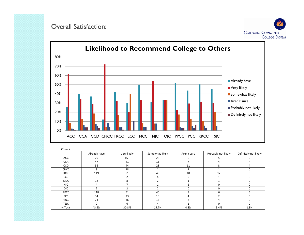#### Overall Satisfaction:





| Counts:     |                |                          |                 |             |                     |                       |
|-------------|----------------|--------------------------|-----------------|-------------|---------------------|-----------------------|
|             | Already have   | Very likely              | Somewhat likely | Aren't sure | Probably not likely | Definitely not likely |
| ACC         | 70             | 169                      | 23              | 6           |                     |                       |
| <b>CCA</b>  | 47             | 41                       | 15              |             |                     |                       |
| <b>CCD</b>  | 56             | 44                       | 28              | 11          | 8                   |                       |
| <b>CNCC</b> | 3              | 18                       |                 |             |                     |                       |
| <b>FRCC</b> | 119            | 91                       | 49              | 10          | 12                  |                       |
| <b>LCC</b>  | 3              | n,                       | 4               | 0           |                     | n                     |
| MCC         | 12             | $\mathsf{\mathsf{R}}$    |                 |             |                     |                       |
| <b>NJC</b>  | 4              |                          |                 |             | $\Omega$            |                       |
| <b>OJC</b>  | $\overline{ }$ | $\overline{\phantom{a}}$ |                 | $\Omega$    | n                   | n                     |
| PPCC        | 118            | 51                       | 40              | 8           | 6                   | n                     |
| <b>PCC</b>  | 34             | 23                       | 10              | 4           |                     |                       |
| <b>RRCC</b> | 74             | 46                       | 15              | 8           | 4                   |                       |
| <b>TSJC</b> | 9              | 6                        | 4               |             | O                   | 0                     |
| % Total     | 43.5%          | 30.8%                    | 15.7%           | 4.8%        | 3.4%                | 1.8%                  |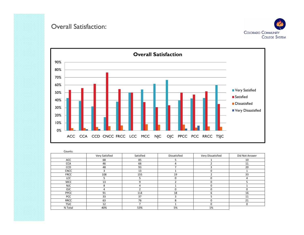#### Overall Satisfaction:





| Counts:     |                |           |              |                   |                |
|-------------|----------------|-----------|--------------|-------------------|----------------|
|             | Very Satisfied | Satisfied | Dissatisfied | Very Dissatisfied | Did Not Answer |
| ACC         | 68             | 85        |              |                   | 10             |
| <b>CCA</b>  | 46             | 66        | 4            |                   | 11             |
| <b>CCD</b>  | 48             | 93        |              |                   | 20             |
| <b>CNCC</b> | з              | 13        |              |                   |                |
| <b>FRCC</b> | 108            | 155       | 19           |                   | 33             |
| <b>LCC</b>  |                |           | 0            | 0                 | 4              |
| MCC         | 13             |           |              | በ                 |                |
| <b>NJC</b>  | 8              |           |              | 0                 |                |
| <b>OJC</b>  | 4              |           | 0            | 0                 | $\Omega$       |
| <b>PPCC</b> | 91             | 114       | 18           | 6                 | 16             |
| <b>PCC</b>  | 33             | 37        | ς            |                   | 11             |
| <b>RRCC</b> | 63             | 76        | 8            | 0                 | 21             |
| <b>TSJC</b> | 12             |           |              | 0                 | $\mathbf 0$    |
| % Total     | 40%            | 53%       | 5%           | 1%                |                |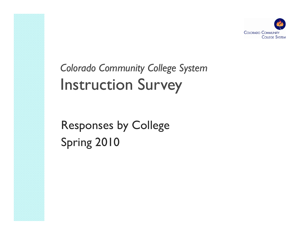

*Colorado Communit Community gy Colle ge S ystem* Instruction Survey

Responses by College Spring 2010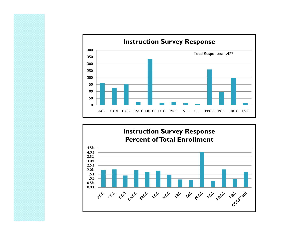

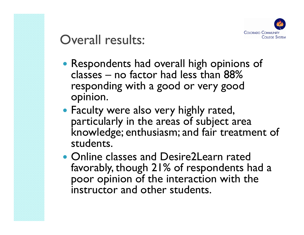

### Overall results:

- Respondents had overall high opinions of classes – no factor had less than  $88\%$ responding with a good or very good opinion.
- Faculty were also very highly rated, particularly in the areas of subject area knowledge; enthusiasm; and fair treatment of students.
- Online classes and Desire2Learn rated favorably, though 21% of respondents had a poor opinion of the interaction with the instructor and other students.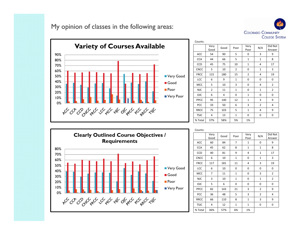My opinion of classes in the following areas:





| Counts:     |                |      |                |                |                |                   |
|-------------|----------------|------|----------------|----------------|----------------|-------------------|
|             | Very<br>Good   | Good | Poor           | Very<br>Poor   | N/A            | Did Not<br>Answer |
| ACC         | 54             | 90   | 5              | 0              | 3              | 9                 |
| <b>CCA</b>  | 44             | 66   | 5              | $\mathbf{1}$   | $\mathbf{1}$   | 8                 |
| CCD         | 45             | 75   | 10             | $\mathbf{1}$   | 4              | 17                |
| <b>CNCC</b> | 5              | 10   | $\overline{2}$ | 0              | $\mathbf{1}$   | 3                 |
| <b>FRCC</b> | 115            | 180  | 15             | $\overline{2}$ | 4              | 19                |
| LCC         | 6              | 9    | $\mathbf{1}$   | 0              | 0              | 0                 |
| MCC         | 5              | 10   | 3              | 0              | 4              | $\overline{2}$    |
| <b>NJC</b>  | $\overline{2}$ | 11   | $\mathbf{1}$   | 0              | $\mathbf{1}$   | $\overline{2}$    |
| <b>OJC</b>  | 6              | 4    | 0              | $\mathbf{1}$   | 0              | $\mathbf 0$       |
| PPCC        | 95             | 140  | 12             | $\mathbf{1}$   | 3              | 9                 |
| PCC         | 33             | 50   | 6              | 3              | $\overline{2}$ | 4                 |
| <b>RRCC</b> | 75             | 103  | 5              | $\mathbf{1}$   | 4              | 9                 |
| <b>TSJC</b> | 4              | 13   | $\mathbf{1}$   | 0              | 0              | 0                 |
| % Total     | 37%            | 58%  | 5%             | 1%             |                |                   |



| Counts:     |              |      |                |              |                |                   |
|-------------|--------------|------|----------------|--------------|----------------|-------------------|
|             | Very<br>Good | Good | Poor           | Very<br>Poor | N/A            | Did Not<br>Answer |
| <b>ACC</b>  | 60           | 84   | $\overline{7}$ | $\mathbf{1}$ | 0              | 9                 |
| <b>CCA</b>  | 45           | 62   | 8              | $\mathbf{1}$ | $\mathbf{1}$   | 8                 |
| CCD         | 40           | 81   | 9              | 4            | $\mathbf{1}$   | 17                |
| <b>CNCC</b> | 6            | 10   | $\mathbf{1}$   | 0            | $\mathbf{1}$   | 3                 |
| <b>FRCC</b> | 117          | 181  | 11             | 4            | 3              | 19                |
| LCC         | 6            | 10   | 0              | 0            | 0              | 0                 |
| MCC         | 7            | 11   | $\mathbf{1}$   | 0            | 3              | $\overline{2}$    |
| <b>NJC</b>  | 3            | 10   | $\mathbf{1}$   | 0            | $\mathbf{1}$   | $\overline{2}$    |
| <b>OJC</b>  | 5            | 6    | 0              | 0            | 0              | 0                 |
| PPCC        | 82           | 143  | 21             | 3            | $\overline{2}$ | 9                 |
| PCC         | 36           | 48   | 5              | 3            | $\overline{2}$ | 4                 |
| <b>RRCC</b> | 66           | 110  | 8              | $\mathbf{1}$ | 3              | 9                 |
| <b>TSJC</b> | 4            | 12   | $\mathbf{1}$   | $\mathbf{1}$ | 0              | 0                 |
| % Total     | 36%          | 57%  | 6%             | 1%           |                |                   |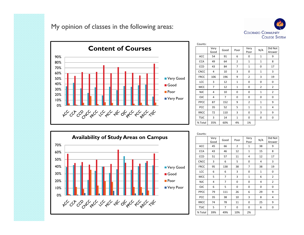My opinion of classes in the following areas:





| Counts:     |              |                |                |                |                |                   |
|-------------|--------------|----------------|----------------|----------------|----------------|-------------------|
|             | Very<br>Good | Good           | Poor           | Very<br>Poor   | N/A            | Did Not<br>Answer |
| <b>ACC</b>  | 54           | 91             | 6              | 0              | $\mathbf{1}$   | 9                 |
| <b>CCA</b>  | 49           | 64             | $\overline{2}$ | $\mathbf{1}$   | $\mathbf{1}$   | 8                 |
| CCD         | 43           | 84             | 7              | $\mathbf{1}$   | 0              | 17                |
| <b>CNCC</b> | 4            | 10             | 3              | 0              | $\mathbf{1}$   | 3                 |
| <b>FRCC</b> | 106          | 196            | 9              | $\overline{2}$ | 3              | 19                |
| LCC         | 3            | 12             | $\mathbf{1}$   | 0              | 0              | 0                 |
| <b>MCC</b>  | 7            | 12             | $\mathbf{1}$   | 0              | $\overline{2}$ | $\overline{2}$    |
| <b>NJC</b>  | 4            | 10             | 0              | 0              | $\mathbf{1}$   | $\overline{2}$    |
| <b>OJC</b>  | 4            | $\overline{7}$ | 0              | 0              | 0              | 0                 |
| <b>PPCC</b> | 87           | 152            | 9              | $\overline{2}$ | $\overline{1}$ | 9                 |
| <b>PCC</b>  | 35           | 52             | 5              | $\mathbf{1}$   | $\mathbf{1}$   | 4                 |
| <b>RRCC</b> | 72           | 110            | 3              | 0              | 3              | 9                 |
| <b>TSJC</b> | 3            | 14             | $\mathbf{1}$   | 0              | 0              | 0                 |
| % Total     | 35%          | 60%            | 4%             | 1%             |                |                   |



| Counts:     |              |      |                |              |              |                   |
|-------------|--------------|------|----------------|--------------|--------------|-------------------|
|             | Very<br>Good | Good | Poor           | Very<br>Poor | N/A          | Did Not<br>Answer |
| <b>ACC</b>  | 45           | 66   | $\overline{2}$ | $\mathbf{1}$ | 38           | 9                 |
| <b>CCA</b>  | 43           | 46   | 12             | $\mathbf{1}$ | 15           | 8                 |
| CCD         | 51           | 57   | 11             | 4            | 12           | 17                |
| <b>CNCC</b> | 3            | 6    | 5              | 0            | 4            | 3                 |
| <b>FRCC</b> | 95           | 138  | 38             | 7            | 38           | 19                |
| LCC         | 6            | 6    | 3              | 0            | $\mathbf{1}$ | 0                 |
| <b>MCC</b>  | 5            | 7    | 3              | $\mathbf{1}$ | 6            | $\overline{2}$    |
| <b>NJC</b>  | 4            | 7    | 0              | 0            | 4            | $\overline{2}$    |
| <b>OJC</b>  | 6            | 5    | 0              | 0            | 0            | 0                 |
| PPCC        | 79           | 111  | 26             | 6            | 29           | 9                 |
| PCC         | 35           | 38   | 10             | 3            | 8            | 4                 |
| <b>RRCC</b> | 74           | 78   | 11             | 0            | 25           | 9                 |
| <b>TSJC</b> | 5            | 7    | 0              | 0            | 6            | 0                 |
| % Total     | 39%          | 49%  | 10%            | 2%           |              |                   |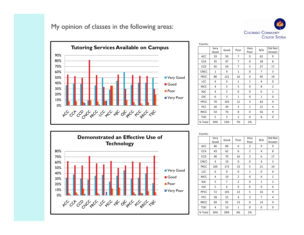My opinion of classes in the following areas:





| Counts:     |              |      |                |              |                |                   |
|-------------|--------------|------|----------------|--------------|----------------|-------------------|
|             | Very<br>Good | Good | Poor           | Very<br>Poor | N/A            | Did Not<br>Answer |
| ACC         | 33           | 50   | 7              | 0            | 62             | 9                 |
| <b>CCA</b>  | 35           | 47   | 7              | 0            | 28             | 8                 |
| CCD         | 42           | 54   | 7              | 5            | 27             | 17                |
| <b>CNCC</b> | $\mathbf{1}$ | 9    | $\mathbf{1}$   | 0            | $\overline{7}$ | 3                 |
| <b>FRCC</b> | 80           | 121  | 16             | 4            | 95             | 19                |
| LCC         | 6            | 4    | $\mathbf{1}$   | $\mathbf{1}$ | 4              | 0                 |
| MCC         | 4            | 5    | 5              | 0            | 8              | $\overline{2}$    |
| <b>NJC</b>  | 4            | 5    | 0              | 0            | 6              | $\overline{2}$    |
| <b>OJC</b>  | 6            | 3    | $\mathbf{1}$   | 0            | $\mathbf{1}$   | 0                 |
| <b>PPCC</b> | 70           | 103  | 12             | 3            | 63             | 9                 |
| PCC         | 30           | 39   | 3              | $\mathbf{1}$ | 21             | 4                 |
| <b>RRCC</b> | 54           | 70   | 8              | 0            | 56             | 9                 |
| <b>TSJC</b> | 5            | 3    | $\overline{2}$ | 0            | 8              | 0                 |
| % Total     | 39%          | 53%  | 7%             | 2%           |                |                   |



| Counts:     |              |                |                |                |                |                   |
|-------------|--------------|----------------|----------------|----------------|----------------|-------------------|
|             | Very<br>Good | Good           | Poor           | Very<br>Poor   | N/A            | Did Not<br>Answer |
| <b>ACC</b>  | 46           | 89             | 6              | $\overline{2}$ | 9              | 9                 |
| <b>CCA</b>  | 43           | 62             | 6              | $\overline{2}$ | 4              | 8                 |
| CCD         | 40           | 70             | 16             | 3              | 6              | 17                |
| <b>CNCC</b> | 4            | 10             | 0              | 0              | 4              | 3                 |
| <b>FRCC</b> | 105          | 172            | 13             | 5              | 21             | 19                |
| LCC         | 6            | 9              | 0              | $\mathbf{1}$   | 0              | 0                 |
| MCC         | 4            | 10             | $\overline{2}$ | 0              | 6              | 2                 |
| <b>NJC</b>  | 5            | $\overline{7}$ | $\overline{2}$ | 0              | $\mathbf{1}$   | 2                 |
| <b>OJC</b>  | 5            | 6              | 0              | 0              | 0              | 0                 |
| PPCC        | 72           | 145            | 13             | 5              | 16             | 9                 |
| PCC         | 28           | 52             | 4              | 3              | $\overline{7}$ | 4                 |
| <b>RRCC</b> | 69           | 92             | 13             | 0              | 14             | 9                 |
| <b>TSJC</b> | 4            | 13             | $\mathbf{1}$   | 0              | 0              | 0                 |
| % Total     | 34%          | 58%            | 6%             | 2%             |                |                   |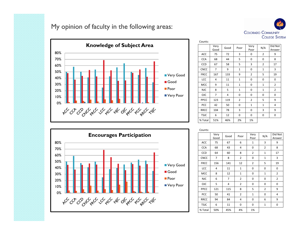### My opinion of faculty in the following areas:





| CUUIILS.    |              |      |                |                |                |                   |
|-------------|--------------|------|----------------|----------------|----------------|-------------------|
|             | Very<br>Good | Good | Poor           | Very<br>Poor   | N/A            | Did Not<br>Answer |
| ACC         | 75           | 72   | 3              | 0              | $\overline{2}$ | 9                 |
| <b>CCA</b>  | 68           | 44   | 5              | 0              | 0              | 8                 |
| CCD         | 67           | 58   | 5              | 3              | $\overline{2}$ | 17                |
| CNCC        | 7            | 9    | $\mathbf{1}$   | 0              | $\mathbf{1}$   | 3                 |
| <b>FRCC</b> | 167          | 133  | 9              | $\overline{2}$ | 5              | 19                |
| LCC         | 4            | 11   | $\mathbf{1}$   | 0              | 0              | 0                 |
| MCC         | 9            | 11   | $\mathbf{1}$   | 0              | $\mathbf{1}$   | $\overline{2}$    |
| <b>NJC</b>  | 8            | 5    | $\mathbf{1}$   | 0              | $\mathbf{1}$   | $\overline{2}$    |
| <b>OJC</b>  | 7            | 4    | 0              | 0              | 0              | 0                 |
| <b>PPCC</b> | 123          | 119  | $\overline{2}$ | $\overline{2}$ | 5              | 9                 |
| PCC         | 42           | 50   | 0              | $\mathbf{1}$   | $\mathbf{1}$   | 4                 |
| <b>RRCC</b> | 104          | 78   | 3              | 0              | 3              | 9                 |
| <b>TSJC</b> | 6            | 12   | 0              | 0              | 0              | 0                 |
| % Total     | 51%          | 46%  | 2%             | 1%             |                |                   |

Counts:



| CUUIILS.    |              |      |                |                |                |                   |
|-------------|--------------|------|----------------|----------------|----------------|-------------------|
|             | Very<br>Good | Good | Poor           | Very<br>Poor   | N/A            | Did Not<br>Answer |
| ACC         | 75           | 67   | 6              | $\mathbf{1}$   | 3              | 9                 |
| <b>CCA</b>  | 68           | 43   | 4              | 0              | $\overline{2}$ | 8                 |
| CCD         | 64           | 60   | 8              | $\overline{2}$ | $\mathbf{1}$   | 17                |
| <b>CNCC</b> | 7            | 8    | $\overline{2}$ | 0              | $\mathbf{1}$   | 3                 |
| <b>FRCC</b> | 156          | 141  | 12             | $\overline{2}$ | 5              | 19                |
| LCC         | 4            | 11   | $\mathbf{1}$   | 0              | 0              | 0                 |
| MCC         | 8            | 12   | $\mathbf{1}$   | 0              | $\mathbf{1}$   | $\overline{2}$    |
| <b>NJC</b>  | 6            | 7    | $\overline{2}$ | 0              | 0              | 2                 |
| <b>OJC</b>  | 5            | 4    | $\overline{2}$ | 0              | 0              | 0                 |
| PPCC        | 121          | 115  | 8              | 5              | $\overline{2}$ | 9                 |
| PCC         | 50           | 41   | $\overline{2}$ | $\mathbf{1}$   | 0              | 4                 |
| <b>RRCC</b> | 94           | 84   | 4              | 0              | 6              | 9                 |
| <b>TSJC</b> | 6            | 11   | 0              | 0              | $\mathbf{1}$   | 0                 |
| % Total     | 50%          | 45%  | 4%             | 1%             |                |                   |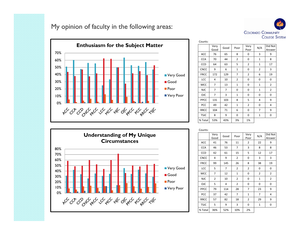My opinion of faculty in the following areas:





| Counts:     |              |      |                |                |                |                   |
|-------------|--------------|------|----------------|----------------|----------------|-------------------|
|             | Very<br>Good | Good | Poor           | Very<br>Poor   | N/A            | Did Not<br>Answer |
| <b>ACC</b>  | 76           | 65   | 8              | 0              | 3              | 9                 |
| <b>CCA</b>  | 70           | 44   | $\overline{2}$ | 0              | $\mathbf{1}$   | 8                 |
| CCD         | 64           | 63   | 5              | $\overline{2}$ | $\mathbf{1}$   | 17                |
| <b>CNCC</b> | 9            | 6    | $\mathbf{1}$   | $\mathbf 0$    | $\overline{2}$ | 3                 |
| <b>FRCC</b> | 172          | 129  | 7              | $\overline{2}$ | 6              | 19                |
| LCC         | 4            | 10   | $\overline{2}$ | 0              | 0              | 0                 |
| MCC         | 7            | 13   | $\mathbf{1}$   | $\mathbf 0$    | $\mathbf{1}$   | $\overline{2}$    |
| <b>NJC</b>  | 7            | 7    | 0              | 0              | $\mathbf{1}$   | $\overline{2}$    |
| <b>OJC</b>  | 7            | 3    | $\mathbf{1}$   | $\mathbf 0$    | 0              | 0                 |
| PPCC        | 131          | 103  | 8              | 5              | 4              | 9                 |
| PCC         | 49           | 42   | $\mathbf{1}$   | $\overline{2}$ | 0              | 4                 |
| <b>RRCC</b> | 104          | 71   | 6              | 0              | 7              | 9                 |
| <b>TSJC</b> | 8            | 9    | 0              | $\mathbf 0$    | $\mathbf{1}$   | 0                 |
| % Total     | 53%          | 43%  | 3%             | 1%             |                |                   |



| Counts:     |                |      |                |                |                |                   |
|-------------|----------------|------|----------------|----------------|----------------|-------------------|
|             | Very<br>Good   | Good | Poor           | Very<br>Poor   | N/A            | Did Not<br>Answer |
| ACC         | 41             | 76   | 11             | 2              | 22             | 9                 |
| <b>CCA</b>  | 46             | 53   | $\overline{7}$ | 3              | 8              | 8                 |
| CCD         | 42             | 61   | 15             | 5              | 12             | 17                |
| <b>CNCC</b> | 4              | 9    | $\overline{2}$ | 0              | 3              | 3                 |
| <b>FRCC</b> | 99             | 145  | 26             | 8              | 38             | 19                |
| LCC         | 5              | 7    | 2              | 2              | 0              | 0                 |
| <b>MCC</b>  | 7              | 12   | $\mathbf{1}$   | 0              | $\overline{2}$ | $\overline{2}$    |
| <b>NJC</b>  | $\overline{2}$ | 10   | $\overline{2}$ | 0              | $\mathbf{1}$   | $\overline{2}$    |
| <b>OJC</b>  | 5              | 4    | $\overline{2}$ | 0              | 0              | 0                 |
| PPCC        | 79             | 114  | 28             | 7              | 23             | 9                 |
| PCC         | 37             | 42   | $\overline{7}$ | $\mathbf{1}$   | 7              | 4                 |
| <b>RRCC</b> | 57             | 82   | 18             | $\overline{2}$ | 29             | 9                 |
| <b>TSJC</b> | 5              | 9    | 3              | 0              | $\mathbf{1}$   | 0                 |
| % Total     | 36%            | 52%  | 10%            | 2%             |                |                   |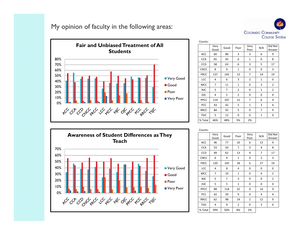My opinion of faculty in the following areas:





| Counts:     |                |                |                |              |              |                   |
|-------------|----------------|----------------|----------------|--------------|--------------|-------------------|
|             | Very<br>Good   | Good           | Poor           | Very<br>Poor | N/A          | Did Not<br>Answer |
| ACC         | 60             | 80             | 3              | 3            | 6            | 9                 |
| <b>CCA</b>  | 65             | 45             | 6              | $\mathbf{1}$ | 0            | 8                 |
| CCD         | 58             | 63             | 6              | 3            | 5            | 17                |
| <b>CNCC</b> | 8              | 9              | $\mathbf{1}$   | 0            | 0            | 3                 |
| <b>FRCC</b> | 137            | 145            | 13             | 7            | 14           | 19                |
| LCC         | 4              | 6              | 3              | 2            | $\mathbf{1}$ | 0                 |
| <b>MCC</b>  | $\overline{7}$ | 11             | $\mathbf{1}$   | 0            | 3            | $\overline{2}$    |
| <b>NJC</b>  | 5              | $\overline{7}$ | $\overline{2}$ | 0            | $\mathbf{1}$ | $\overline{2}$    |
| <b>OJC</b>  | 4              | 5              | $\overline{2}$ | 0            | 0            | 0                 |
| PPCC        | 119            | 107            | 12             | 7            | 6            | 9                 |
| PCC         | 43             | 42             | 5              | $\mathbf{1}$ | 3            | 4                 |
| <b>RRCC</b> | 84             | 92             | 5              | 0            | 7            | 9                 |
| <b>TSJC</b> | 5              | 12             | 0              | 0            | $\mathbf{1}$ | 0                 |
| % Total     | 46%            | 48%            | 5%             | 2%           |              |                   |



|             | Very<br>Good | Good | Poor           | Very<br>Poor | N/A            | Did Not<br>Answer |
|-------------|--------------|------|----------------|--------------|----------------|-------------------|
| ACC         | 46           | 77   | 10             | 6            | 13             | 9                 |
| <b>CCA</b>  | 53           | 50   | $\overline{7}$ | 3            | 4              | 8                 |
| CCD         | 49           | 62   | 13             | 4            | $\overline{7}$ | 17                |
| CNCC        | 6            | 9    | $\mathbf{1}$   | 0            | $\overline{2}$ | 3                 |
| <b>FRCC</b> | 120          | 145  | 18             | 6            | 27             | 19                |
| LCC         | 4            | 8    | 4              | 0            | 0              | 0                 |
| <b>MCC</b>  | 7            | 10   | $\mathbf{1}$   | 0            | 4              | $\overline{2}$    |
| <b>NJC</b>  | 5            | 7    | 3              | 0            | 0              | $\overline{2}$    |
| <b>OJC</b>  | 5            | 5    | $\mathbf{1}$   | 0            | 0              | 0                 |
| PPCC        | 88           | 118  | 22             | 9            | 14             | 9                 |
| PCC         | 42           | 39   | 9              | 0            | 4              | 4                 |
| <b>RRCC</b> | 62           | 98   | 14             | 2            | 12             | 9                 |
| <b>TSJC</b> | 4            | 9    | $\overline{2}$ | 0            | 3              | 0                 |
| % Total     | 39%          | 50%  | 8%             | 2%           |                |                   |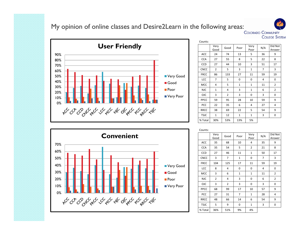### My opinion of online classes and Desire2Learn in the following areas:<br>COLORADO COMMUNITY



| Counts:     |                |                |              |              |     |                   |
|-------------|----------------|----------------|--------------|--------------|-----|-------------------|
|             | Very<br>Good   | Good           | Poor         | Very<br>Poor | N/A | Did Not<br>Answer |
| ACC         | 24             | 74             | 13           | 5            | 36  | 9                 |
| <b>CCA</b>  | 27             | 55             | 8            | 5            | 22  | 8                 |
| CCD         | 27             | 44             | 10           | 3            | 51  | 17                |
| <b>CNCC</b> | $\overline{2}$ | 5              | 3            | $\mathbf{1}$ | 7   | 3                 |
| <b>FRCC</b> | 86             | 133            | 27           | 11           | 59  | 19                |
| LCC         | 7              | 5              | 0            | 0            | 4   | 0                 |
| MCC         | 4              | 5              | $\mathbf{1}$ | $\mathbf{1}$ | 11  | $\overline{2}$    |
| <b>NJC</b>  | $\mathbf{1}$   | 4              | 3            | $\mathbf{1}$ | 6   | $\overline{2}$    |
| <b>OJC</b>  | 3              | $\overline{2}$ | 3            | 0            | 3   | 0                 |
| PPCC        | 59             | 95             | 28           | 10           | 59  | 9                 |
| PCC         | 22             | 35             | 6            | 4            | 27  | 4                 |
| <b>RRCC</b> | 38             | 69             | 22           | 5            | 54  | 9                 |
| <b>TSJC</b> | $\mathbf{1}$   | 12             | $\mathbf{1}$ | $\mathbf{1}$ | 3   | 0                 |
| % Total     | 30%            | 53%            | 13%          | 5%           |     |                   |

**COLLEGE SYSTEM** 



| CUUIILS.    |                |                |              |                |     |                   |
|-------------|----------------|----------------|--------------|----------------|-----|-------------------|
|             | Very<br>Good   | Good           | Poor         | Very<br>Poor   | N/A | Did Not<br>Answer |
| ACC         | 35             | 68             | 10           | 4              | 35  | 9                 |
| <b>CCA</b>  | 35             | 54             | 5            | $\overline{2}$ | 21  | 8                 |
| CCD         | 27             | 46             | 11           | $\mathbf{1}$   | 50  | 17                |
| <b>CNCC</b> | 3              | 7              | $\mathbf 1$  | 0              | 7   | 3                 |
| <b>FRCC</b> | 104            | 125            | 17           | 11             | 59  | 19                |
| LCC         | 8              | 4              | 0            | 0              | 4   | 0                 |
| MCC         | 3              | 6              | $\mathbf{1}$ | $\mathbf{1}$   | 11  | $\overline{2}$    |
| <b>NJC</b>  | $\overline{2}$ | 4              | 3            | 0              | 6   | $\overline{2}$    |
| <b>OJC</b>  | 3              | $\overline{2}$ | 3            | 0              | 3   | 0                 |
| PPCC        | 68             | 99             | 17           | 10             | 57  | 9                 |
| PCC         | 27             | 31             | 7            | $\mathbf 1$    | 28  | 4                 |
| <b>RRCC</b> | 48             | 66             | 14           | 6              | 54  | 9                 |
| <b>TSJC</b> | 5              | 9              | 0            | $\mathbf{1}$   | 3   | 0                 |
| % Total     | 36%            | 51%            | 9%           | 4%             |     |                   |

#### Counts: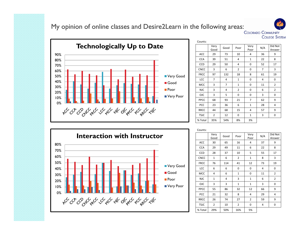### My opinion of online classes and Desire2Learn in the following areas:<br>COLORADO COMMUNITY



| Counts:     |                |                |                |                |     |                   |
|-------------|----------------|----------------|----------------|----------------|-----|-------------------|
|             | Very<br>Good   | Good           | Poor           | Very<br>Poor   | N/A | Did Not<br>Answer |
| <b>ACC</b>  | 29             | 73             | 10             | 4              | 36  | 9                 |
| <b>CCA</b>  | 39             | 51             | 4              | $\mathbf{1}$   | 22  | 8                 |
| CCD         | 29             | 50             | 4              | 0              | 52  | 17                |
| <b>CNCC</b> | 3              | 6              | $\overline{2}$ | 0              | 7   | 3                 |
| <b>FRCC</b> | 97             | 132            | 18             | 8              | 61  | 19                |
| LCC         | 7              | 4              | $\mathbf 1$    | 0              | 4   | 0                 |
| <b>MCC</b>  | 3              | $\overline{7}$ | $\mathbf{1}$   | 0              | 11  | $\overline{2}$    |
| <b>NJC</b>  | 3              | 4              | $\overline{2}$ | 0              | 6   | $\overline{2}$    |
| <b>OJC</b>  | 3              | 5              | 0              | 0              | 3   | 0                 |
| PPCC        | 68             | 93             | 21             | $\overline{7}$ | 62  | 9                 |
| PCC         | 23             | 36             | 6              | $\mathbf{1}$   | 28  | 4                 |
| <b>RRCC</b> | 44             | 68             | 15             | 4              | 57  | 9                 |
| <b>TSJC</b> | $\overline{2}$ | 12             | 0              | $\mathbf{1}$   | 3   | 0                 |
| % Total     | 35%            | 54%            | 8%             | 3%             |     |                   |

**COLLEGE SYSTEM** 



| Cuunts.     |                |      |                |                |     |                   |
|-------------|----------------|------|----------------|----------------|-----|-------------------|
|             | Very<br>Good   | Good | Poor           | Very<br>Poor   | N/A | Did Not<br>Answer |
| ACC         | 30             | 65   | 16             | 4              | 37  | 9                 |
| <b>CCA</b>  | 29             | 49   | 11             | 6              | 22  | 8                 |
| CCD         | 28             | 37   | 10             | 5              | 55  | 17                |
| <b>CNCC</b> | $\mathbf{1}$   | 6    | $\overline{2}$ | $\mathbf{1}$   | 8   | 3                 |
| <b>FRCC</b> | 76             | 114  | 41             | 12             | 73  | 19                |
| LCC         | 6              | 6    | 0              | 0              | 4   | 0                 |
| MCC         | 4              | 6    | $\mathbf{1}$   | 0              | 11  | $\overline{2}$    |
| <b>NJC</b>  | $\mathbf{1}$   | 4    | 3              | $\mathbf{1}$   | 6   | $\overline{2}$    |
| <b>OJC</b>  | 3              | 3    | $\mathbf{1}$   | $\mathbf{1}$   | 3   | 0                 |
| PPCC        | 55             | 86   | 32             | 12             | 66  | 9                 |
| PCC         | 21             | 32   | 8              | 4              | 29  | 4                 |
| <b>RRCC</b> | 26             | 74   | 27             | $\overline{2}$ | 59  | 9                 |
| <b>TSJC</b> | $\overline{2}$ | 10   | $\overline{2}$ | 0              | 4   | 0                 |
| % Total     | 29%            | 50%  | 16%            | 5%             |     |                   |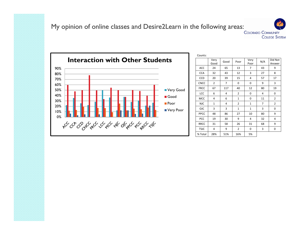**COLLEGE SYSTEM** 



| Counts:     |                |      |                |                |                |                   |
|-------------|----------------|------|----------------|----------------|----------------|-------------------|
|             | Very<br>Good   | Good | Poor           | Very<br>Poor   | N/A            | Did Not<br>Answer |
| ACC         | 24             | 65   | 13             | 7              | 43             | 9                 |
| <b>CCA</b>  | 32             | 43   | 12             | 3              | 27             | 8                 |
| CCD         | 20             | 39   | 15             | 4              | 57             | 17                |
| <b>CNCC</b> | $\overline{2}$ | 7    | 0              | 0              | 9              | 3                 |
| <b>FRCC</b> | 67             | 117  | 40             | 12             | 80             | 19                |
| LCC         | 6              | 4    | $\overline{2}$ | 0              | 4              | 0                 |
| <b>MCC</b>  | 4              | 6    | $\mathbf{1}$   | $\mathbf 0$    | 11             | $\overline{2}$    |
| <b>NJC</b>  | $\overline{1}$ | 4    | $\overline{2}$ | $\overline{1}$ | $\overline{7}$ | $\overline{2}$    |
| <b>OJC</b>  | 3              | 3    | $\mathbf{1}$   | $\mathbf{1}$   | 3              | 0                 |
| PPCC        | 48             | 86   | 27             | 10             | 80             | 9                 |
| PCC         | 19             | 30   | 9              | 4              | 32             | 4                 |
| <b>RRCC</b> | 31             | 58   | 26             | 31             | 68             | 9                 |
| <b>TSJC</b> | 4              | 9    | 2              | 0              | 3              | 0                 |
| % Total     | 28%            | 51%  | 16%            | 5%             |                |                   |
|             |                |      |                |                |                |                   |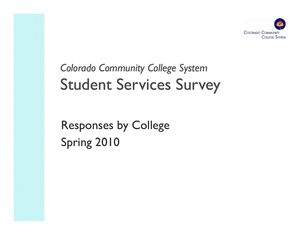

# *Colorado Community College System* Student Services Survey

Responses by College Spring 2010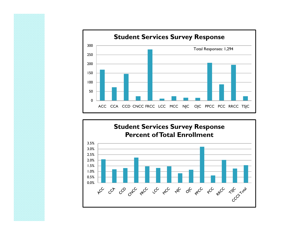

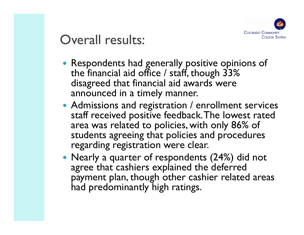

### Overall results:

- Respondents had generally positive opinions of the financial aid office / staff, though  $33\%$ disagreed that financial aid awards were announced in a timely manner.
- Admissions and registration  $/$  enrollment services staff received positive feedback. The lowest rated area was related to policies, with only 86% of students agreeing that policies and procedures regarding registration were clear.
- Nearly a quarter of respondents (24%) did not agree that cashiers explained the deferred payment plan, though other cashier related areas had predominantly high ratings.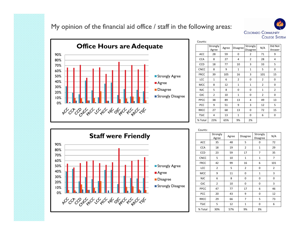My opinion of the financial aid office / staff in the following areas:





| Counts:     |                   |       |                 |                      |                |                   |
|-------------|-------------------|-------|-----------------|----------------------|----------------|-------------------|
|             | Strongly<br>Agree | Agree | <b>Disagree</b> | Strongly<br>Disagree | N/A            | Did Not<br>Answer |
| <b>ACC</b>  | 28                | 59    | 0               | $\overline{2}$       | 71             | 9                 |
| <b>CCA</b>  | 8                 | 27    | 4               | $\overline{2}$       | 28             | 4                 |
| <b>CCD</b>  | 18                | 77    | 10              | 3                    | 33             | 5                 |
| <b>CNCC</b> | 8                 | 9     | $\mathbf{1}$    | $\mathbf{1}$         | 5              | 0                 |
| <b>FRCC</b> | 39                | 105   | 16              | 3                    | 101            | 15                |
| LCC         | $\mathbf{1}$      | 6     | $\overline{2}$  | 0                    | 2              | 0                 |
| <b>MCC</b>  | 8                 | 12    | $\mathbf{1}$    | $\mathbf{1}$         | $\overline{2}$ | 0                 |
| <b>NJC</b>  | 5                 | 8     | 0               | 0                    | $\mathbf{1}$   | $\overline{2}$    |
| <b>OJC</b>  | $\overline{2}$    | 10    | $\mathbf{1}$    | 0                    | $\overline{2}$ | 0                 |
| PPCC        | 38                | 89    | 13              | 4                    | 49             | 13                |
| PCC         | 9                 | 51    | 9               | 3                    | 12             | 5                 |
| <b>RRCC</b> | 27                | 68    | 13              | 0                    | 72             | 15                |
| <b>TSJC</b> | 4                 | 13    | $\mathbf{1}$    | 0                    | 6              | 0                 |
| % Total     | 23%               | 65%   | 9%              | 2%                   |                |                   |



| Counts:     |                   |       |                 |                      |     |
|-------------|-------------------|-------|-----------------|----------------------|-----|
|             | Strongly<br>Agree | Agree | <b>Disagree</b> | Strongly<br>Disagree | N/A |
| ACC         | 35                | 48    | 5               | 0                    | 72  |
| <b>CCA</b>  | 18                | 19    | $\overline{2}$  | $\mathbf{1}$         | 29  |
| CCD         | 23                | 59    | 17              | 7                    | 35  |
| <b>CNCC</b> | 5                 | 10    | $\mathbf{1}$    | $\mathbf{1}$         | 7   |
| <b>FRCC</b> | 42                | 99    | 16              | 6                    | 101 |
| LCC         | $\overline{2}$    | 5     | $\overline{2}$  | 0                    | 2   |
| <b>MCC</b>  | 9                 | 11    | 0               | $\mathbf{1}$         | 3   |
| <b>NJC</b>  | 6                 | 8     | 0               | 0                    | 0   |
| <b>OJC</b>  | $\overline{2}$    | 10    | 0               | 0                    | 3   |
| PPCC        | 47                | 77    | 17              | 6                    | 46  |
| PCC         | 20                | 43    | 9               | 0                    | 12  |
| <b>RRCC</b> | 29                | 66    | 7               | 5                    | 73  |
| <b>TSJC</b> | 5                 | 12    | $\mathbf{1}$    | 0                    | 6   |
| % Total     | 30%               | 57%   | 9%              | 3%                   |     |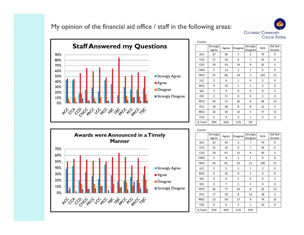My opinion of the financial aid office / staff in the following areas:





| Counts:     |                   |       |                |                      |                |                   |
|-------------|-------------------|-------|----------------|----------------------|----------------|-------------------|
|             | Strongly<br>Agree | Agree | Disagree       | Strongly<br>Disagree | N/A            | Did Not<br>Answer |
| ACC         | 37                | 39    | $\overline{7}$ | 2                    | 75             | 9                 |
| <b>CCA</b>  | 17                | 18    | 4              | $\mathbf{1}$         | 29             | 4                 |
| CCD         | 19                | 59    | 19             | 9                    | 35             | 5                 |
| <b>CNCC</b> | 5                 | 13    | $\mathbf{1}$   | $\mathbf{1}$         | 4              | 0                 |
| <b>FRCC</b> | 47                | 96    | 14             | 5                    | 102            | 15                |
| LCC         | $\overline{2}$    | 6     | $\mathbf{1}$   | 0                    | $\overline{2}$ | 0                 |
| <b>MCC</b>  | 9                 | 10    | $\mathbf{1}$   | $\mathbf{1}$         | 3              | 0                 |
| <b>NJC</b>  | 5                 | 9     | 0              | 0                    | 0              | $\overline{2}$    |
| <b>OJC</b>  | $\overline{2}$    | 11    | 0              | 0                    | $\overline{2}$ | 0                 |
| PPCC        | 43                | 73    | 20             | 9                    | 48             | 13                |
| PCC         | 18                | 38    | 8              | 8                    | 12             | 5                 |
| <b>RRCC</b> | 26                | 59    | 13             | 5                    | 77             | 15                |
| <b>TSJC</b> | 5                 | 9     | 3              | $\mathbf{1}$         | 6              | 0                 |
| % Total     | 29%               | 54%   | 11%            | 5%                   |                |                   |



| Cuunto.     |                   |                |                |                      |     |                   |
|-------------|-------------------|----------------|----------------|----------------------|-----|-------------------|
|             | Strongly<br>Agree | Agree          | Disagree       | Strongly<br>Disagree | N/A | Did Not<br>Answer |
| ACC         | 33                | 43             | 3              | 7                    | 74  | 9                 |
| <b>CCA</b>  | 15                | 19             | 0              | $\mathbf{1}$         | 34  | 4                 |
| CCD         | 20                | 61             | 15             | 6                    | 39  | 5                 |
| <b>CNCC</b> | 5                 | 8              | $\mathbf{1}$   | $\mathbf{1}$         | 9   | 0                 |
| <b>FRCC</b> | 42                | 81             | 23             | 12                   | 106 | 15                |
| LCC         | $\overline{2}$    | 5              | $\mathbf{1}$   | $\mathbf 1$          | 2   | 0                 |
| MCC         | 9                 | 10             | 0              | $\mathbf{1}$         | 4   | 0                 |
| <b>NJC</b>  | 4                 | 8              | $\overline{2}$ | 0                    | 0   | $\overline{2}$    |
| <b>OJC</b>  | $\overline{2}$    | $\overline{7}$ | $\mathbf{1}$   | $\mathbf{1}$         | 4   | 0                 |
| PPCC        | 26                | 77             | 23             | 8                    | 59  | 13                |
| PCC         | 17                | 29             | 8              | 12                   | 18  | 5                 |
| <b>RRCC</b> | 22                | 59             | 17             | 8                    | 74  | 15                |
| <b>TSJC</b> | 4                 | 6              | 3              | $\mathbf 1$          | 10  | 0                 |
| % Total     | 22%               | 45%            | 11%            | 22%                  |     |                   |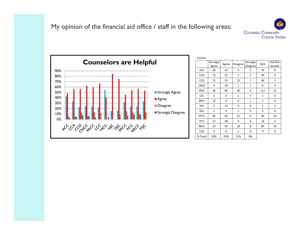### My opinion of the financial aid office / staff in the following areas:





| Counts:     |                   |       |                |                      |                |                   |
|-------------|-------------------|-------|----------------|----------------------|----------------|-------------------|
|             | Strongly<br>Agree | Agree | Disagree       | Strongly<br>Disagree | N/A            | Did Not<br>Answer |
| ACC         | 36                | 41    | 5              | $\overline{2}$       | 76             | 9                 |
| <b>CCA</b>  | 13                | 22    | 2              | $\overline{2}$       | 30             | 4                 |
| <b>CCD</b>  | 21                | 52    | 12             | 7                    | 49             | 5                 |
| <b>CNCC</b> | 4                 | 10    | $\mathbf{1}$   | $\mathbf{1}$         | 8              | 0                 |
| <b>FRCC</b> | 36                | 90    | 20             | 6                    | 112            | 15                |
| LCC         | $\overline{2}$    | 6     | $\mathbf{1}$   | 0                    | $\overline{2}$ | 0                 |
| MCC         | 12                | 9     | 0              | $\mathbf{1}$         | $\overline{2}$ | 0                 |
| <b>NJC</b>  | $\overline{2}$    | 11    | 0              | 0                    | $\mathbf{1}$   | $\overline{2}$    |
| <b>OJC</b>  | $\overline{2}$    | 9     | $\mathbf{1}$   | 0                    | 3              | 0                 |
| PPCC        | 42                | 61    | 21             | 9                    | 60             | 13                |
| PCC         | 17                | 38    | 9              | 6                    | 14             | 5                 |
| <b>RRCC</b> | 23                | 54    | 10             | 8                    | 85             | 15                |
| <b>TSJC</b> | 5                 | 8     | $\overline{2}$ | 0                    | 9              | 0                 |
| % Total     | 29%               | 55%   | 11%            | 6%                   |                |                   |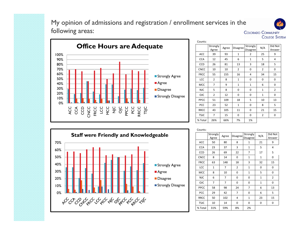### My opinion of admissions and registration / enrollment services in the following areas:





| CUUIILS.    |                   |       |                 |                      |                |                   |
|-------------|-------------------|-------|-----------------|----------------------|----------------|-------------------|
|             | Strongly<br>Agree | Agree | <b>Disagree</b> | Strongly<br>Disagree | N/A            | Did Not<br>Answer |
| ACC         | 39                | 93    | $\mathbf{1}$    | 2                    | 25             | 9                 |
| <b>CCA</b>  | 12                | 45    | 6               | $\mathbf{1}$         | 5              | 4                 |
| CCD         | 26                | 81    | 13              | 3                    | 18             | 5                 |
| <b>CNCC</b> | 10                | 10    | $\overline{2}$  | 0                    | 2              | 0                 |
| <b>FRCC</b> | 55                | 155   | 16              | 4                    | 34             | 15                |
| LCC         | $\overline{2}$    | 8     | $\mathbf{1}$    | 0                    | 0              | 0                 |
| MCC         | 7                 | 9     | $\mathbf{1}$    | $\mathbf{1}$         | 6              | 0                 |
| <b>NJC</b>  | 5                 | 8     | 0               | 0                    | $\mathbf{1}$   | $\overline{2}$    |
| <b>OJC</b>  | $\overline{2}$    | 12    | 0               | 0                    | $\mathbf{1}$   | 0                 |
| PPCC        | 51                | 109   | 18              | 5                    | 10             | 13                |
| PCC         | 23                | 52    | $\mathbf{1}$    | 0                    | 8              | 5                 |
| <b>RRCC</b> | 43                | 105   | 11              | 0                    | 21             | 15                |
| <b>TSJC</b> | 7                 | 15    | 0               | 0                    | $\overline{2}$ | 0                 |
| % Total     | 26%               | 66%   | 7%              | 1%                   |                |                   |



| Counts:     |                   |       |                |                      |              |                   |
|-------------|-------------------|-------|----------------|----------------------|--------------|-------------------|
|             | Strongly<br>Agree | Agree | Disagree       | Strongly<br>Disagree | N/A          | Did Not<br>Answer |
| <b>ACC</b>  | 50                | 80    | 8              | $\mathbf{1}$         | 21           | 9                 |
| <b>CCA</b>  | 23                | 37    | 3              | $\mathbf{1}$         | 5            | 4                 |
| CCD         | 26                | 69    | 22             | 7                    | 17           | 5                 |
| <b>CNCC</b> | 8                 | 14    | 0              | $\mathbf{1}$         | $\mathbf{1}$ | 0                 |
| <b>FRCC</b> | 63                | 148   | 18             | 3                    | 32           | 15                |
| LCC         | $\mathbf{1}$      | 7     | $\overline{2}$ | $\mathbf{1}$         | 0            | 0                 |
| <b>MCC</b>  | 8                 | 10    | 0              | $\mathbf{1}$         | 5            | 0                 |
| <b>NJC</b>  | 6                 | 7     | 0              | 0                    | $\mathbf{1}$ | $\overline{2}$    |
| OJC         | 7                 | 7     | 0              | 0                    | $\mathbf{1}$ | 0                 |
| PPCC        | 58                | 98    | 24             | 7                    | 6            | 13                |
| <b>PCC</b>  | 29                | 42    | 7              | 0                    | 6            | 5                 |
| <b>RRCC</b> | 50                | 102   | 4              | $\overline{1}$       | 23           | 15                |
| <b>TSJC</b> | 10                | 14    | 0              | 0                    | 0            | 0                 |
| % Total     | 31%               | 59%   | 8%             | 2%                   |              |                   |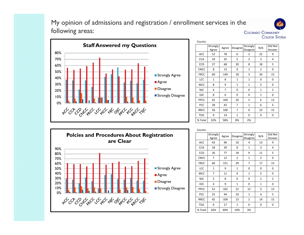### My opinion of admissions and registration / enrollment services in the following areas:





| Counts:     |                   |       |                 |                      |                |                   |
|-------------|-------------------|-------|-----------------|----------------------|----------------|-------------------|
|             | Strongly<br>Agree | Agree | <b>Disagree</b> | Strongly<br>Disagree | N/A            | Did Not<br>Answer |
| ACC         | 52                | 78    | 6               | 2                    | 22             | 9                 |
| <b>CCA</b>  | 24                | 35    | 5               | $\overline{2}$       | 3              | 4                 |
| CCD         | 27                | 68    | 20              | 8                    | 18             | 5                 |
| <b>CNCC</b> | 8                 | 13    | 0               | $\mathbf{1}$         | $\overline{2}$ | 0                 |
| <b>FRCC</b> | 60                | 149   | 18              | 3                    | 34             | 15                |
| LCC         | $\mathbf{1}$      | 8     | $\mathbf{1}$    | $\mathbf{1}$         | 0              | 0                 |
| <b>MCC</b>  | 8                 | 9     | $\mathbf{1}$    | $\mathbf{1}$         | 5              | 0                 |
| <b>NJC</b>  | 6                 | 7     | 0               | 0                    | $\mathbf{1}$   | $\overline{2}$    |
| <b>OJC</b>  | 8                 | 6     | 0               | 0                    | $\mathbf{1}$   | 0                 |
| PPCC        | 62                | 100   | 20              | 5                    | 6              | 13                |
| PCC         | 28                | 42    | 7               | $\mathbf{1}$         | 6              | 5                 |
| <b>RRCC</b> | 50                | 100   | 7               | 0                    | 23             | 15                |
| <b>TSJC</b> | 9                 | 14    | $\mathbf{1}$    | 0                    | 0              | 0                 |
| % Total     | 32%               | 58%   | 8%              | 2%                   |                |                   |



| Cuunto.     |                   |       |                 |                      |                |                   |
|-------------|-------------------|-------|-----------------|----------------------|----------------|-------------------|
|             | Strongly<br>Agree | Agree | <b>Disagree</b> | Strongly<br>Disagree | N/A            | Did Not<br>Answer |
| ACC         | 43                | 90    | 10              | 4                    | 13             | 9                 |
| <b>CCA</b>  | 18                | 39    | 8               | $\mathbf{1}$         | 3              | 4                 |
| CCD         | 26                | 77    | 18              | 9                    | 11             | 5                 |
| <b>CNCC</b> | 7                 | 12    | $\overline{2}$  | $\mathbf{1}$         | $\overline{2}$ | 0                 |
| <b>FRCC</b> | 60                | 151   | 29              | 7                    | 17             | 15                |
| LCC         | $\mathbf{1}$      | 9     | $\mathbf{1}$    | 0                    | 0              | 0                 |
| MCC         | 7                 | 11    | 0               | $\mathbf{1}$         | 5              | 0                 |
| <b>NJC</b>  | 5                 | 8     | 0               | 0                    | $\mathbf{1}$   | $\overline{2}$    |
| <b>OJC</b>  | 4                 | 9     | $\mathbf{1}$    | 0                    | $\mathbf{1}$   | 0                 |
| PPCC        | 52                | 102   | 22              | 12                   | 5              | 13                |
| <b>PCC</b>  | 25                | 44    | 10              | $\mathbf{1}$         | 4              | 5                 |
| <b>RRCC</b> | 42                | 109   | 13              | $\overline{2}$       | 14             | 15                |
| <b>TSJC</b> | 6                 | 17    | $\mathbf 1$     | 0                    | 0              | 0                 |
| % Total     | 26%               | 60%   | 10%             | 3%                   |                |                   |
|             |                   |       |                 |                      |                |                   |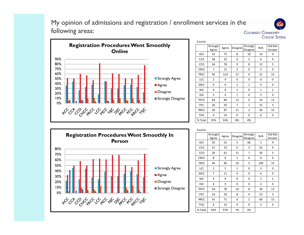### My opinion of admissions and registration / enrollment services in the following areas:





| Counts:     |                   |       |                 |                             |              |                   |
|-------------|-------------------|-------|-----------------|-----------------------------|--------------|-------------------|
|             | Strongly<br>Agree | Agree | <b>Disagree</b> | Strongly<br><b>Disagree</b> | N/A          | Did Not<br>Answer |
| ACC         | 53                | 75    | 8               | 10                          | 14           | 9                 |
| <b>CCA</b>  | 28                | 32    | 0               | 3                           | 6            | 4                 |
| CCD         | 34                | 78    | 9               | 8                           | 12           | 5                 |
| <b>CNCC</b> | 7                 | 12    | $\overline{2}$  | 0                           | 3            | 0                 |
| <b>FRCC</b> | 92                | 114   | 27              | 9                           | 22           | 15                |
| LCC         | $\overline{2}$    | 9     | 0               | 0                           | 0            | 0                 |
| MCC         | 9                 | 9     | $\mathbf{1}$    | $\mathbf{1}$                | 4            | 0                 |
| <b>NJC</b>  | 4                 | 8     | $\mathbf{1}$    | 0                           | $\mathbf{1}$ | 2                 |
| <b>OJC</b>  | 3                 | 6     | $\mathbf{1}$    | 0                           | 5            | 0                 |
| PPCC        | 64                | 89    | 12              | 9                           | 19           | 13                |
| PCC         | 26                | 35    | 7               | $\mathbf{1}$                | 15           | 5                 |
| <b>RRCC</b> | 50                | 87    | 11              | $\overline{2}$              | 30           | 15                |
| <b>TSJC</b> | 4                 | 14    | 0               | 0                           | 6            | 0                 |
| % Total     | 35%               | 53%   | 8%              | 4%                          |              |                   |



|             | Strongly<br>Agree | Agree | Disagree     | Strongly<br><b>Disagree</b> | N/A            | Did Not<br>Answer |
|-------------|-------------------|-------|--------------|-----------------------------|----------------|-------------------|
| ACC         | 35                | 52    | 5            | 66                          | $\overline{2}$ | 9                 |
| <b>CCA</b>  | 21                | 23    | 0            | 2                           | 23             | 4                 |
| CCD         | 26                | 61    | 11           | 7                           | 36             | 5                 |
| <b>CNCC</b> | 8                 | 9     | $\mathbf{1}$ | 0                           | 6              | 0                 |
| <b>FRCC</b> | 44                | 96    | 10           | 5                           | 109            | 15                |
| LCC         | $\overline{2}$    | 5     | $\mathbf{1}$ | 0                           | 3              | 0                 |
| MCC         | 7                 | 11    | 0            | 0                           | 6              | 0                 |
| <b>NJC</b>  | 4                 | 9     | 0            | 0                           | $\mathbf{1}$   | $\overline{2}$    |
| <b>OJC</b>  | 4                 | 9     | 0            | 0                           | $\overline{2}$ | 0                 |
| <b>PPCC</b> | 54                | 78    | 14           | 8                           | 39             | 13                |
| PCC         | 24                | 29    | 8            | 0                           | 23             | 5                 |
| <b>RRCC</b> | 41                | 71    | 6            | $\overline{2}$              | 60             | 15                |
| <b>TSJC</b> | 6                 | 15    | 0            | 0                           | 3              | 0                 |
| % Total     | 33%               | 57%   | 7%           | 3%                          |                |                   |

Counts: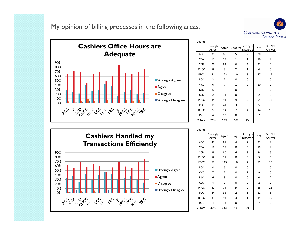My opinion of billing processes in the following areas:





| counts:     |                   |       |              |                      |                |                   |
|-------------|-------------------|-------|--------------|----------------------|----------------|-------------------|
|             | Strongly<br>Agree | Agree | Disagree     | Strongly<br>Disagree | N/A            | Did Not<br>Answer |
| ACC         | 38                | 85    | 5            | $\overline{2}$       | 30             | 9                 |
| <b>CCA</b>  | 13                | 38    | $\mathbf{1}$ | $\mathbf{1}$         | 16             | 4                 |
| CCD         | 26                | 84    | 6            | 4                    | 21             | 5                 |
| <b>CNCC</b> | 8                 | 9     | 2            | $\mathbf{1}$         | 4              | 0                 |
| <b>FRCC</b> | 51                | 123   | 10           | 3                    | 77             | 15                |
| LCC         | 3                 | 7     | 0            | 0                    | $\mathbf{1}$   | 0                 |
| MCC         | 6                 | 7     | $\mathbf{1}$ | 0                    | 10             | 0                 |
| <b>NJC</b>  | 5                 | 8     | 0            | 0                    | $\mathbf{1}$   | $\overline{2}$    |
| OJC         | $\overline{2}$    | 11    | 0            | 0                    | $\overline{2}$ | 0                 |
| PPCC        | 34                | 94    | 9            | $\overline{2}$       | 54             | 13                |
| PCC         | 18                | 41    | 3            | 0                    | 22             | 5                 |
| <b>RRCC</b> | 27                | 94    | 11           | 4                    | 44             | 15                |
| <b>TSJC</b> | 4                 | 13    | 0            | 0                    | 7              | 0                 |
| % Total     | 26%               | 67%   | 5%           | 2%                   |                |                   |

Counts:



| counto.     |                   |       |                 |                      |                |                   |
|-------------|-------------------|-------|-----------------|----------------------|----------------|-------------------|
|             | Strongly<br>Agree | Agree | <b>Disagree</b> | Strongly<br>Disagree | N/A            | Did Not<br>Answer |
| ACC         | 42                | 81    | 4               | 2                    | 31             | 9                 |
| <b>CCA</b>  | 19                | 28    | 0               | 3                    | 19             | 4                 |
| CCD         | 28                | 80    | 6               | 3                    | 24             | 5                 |
| <b>CNCC</b> | 8                 | 11    | 0               | 0                    | 5              | 0                 |
| <b>FRCC</b> | 52                | 115   | 10              | 2                    | 85             | 15                |
| LCC         | 4                 | 6     | 0               | 0                    | $\mathbf{1}$   | 0                 |
| <b>MCC</b>  | 7                 | 7     | 0               | $\mathbf{1}$         | 9              | 0                 |
| <b>NJC</b>  | 6                 | 8     | 0               | 0                    | 0              | $\overline{2}$    |
| <b>OJC</b>  | 4                 | 9     | 0               | 0                    | $\overline{2}$ | 0                 |
| PPCC        | 42                | 74    | 9               | 0                    | 68             | 13                |
| PCC         | 24                | 35    | $\overline{2}$  | $\mathbf{1}$         | 22             | 5                 |
| <b>RRCC</b> | 39                | 93    | 3               | $\mathbf{1}$         | 44             | 15                |
| <b>TSJC</b> | 4                 | 13    | 0               | 0                    | 7              | 0                 |
| % Total     | 32%               | 63%   | 4%              | 2%                   |                |                   |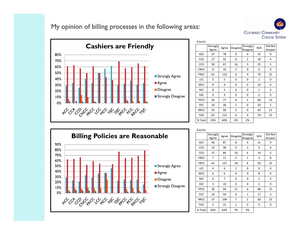My opinion of billing processes in the following areas:





| CUUIILS.    |                   |       |                 |                      |                |                   |
|-------------|-------------------|-------|-----------------|----------------------|----------------|-------------------|
|             | Strongly<br>Agree | Agree | <b>Disagree</b> | Strongly<br>Disagree | N/A            | Did Not<br>Answer |
| ACC         | 37                | 78    | 9               | 4                    | 32             | 9                 |
| <b>CCA</b>  | 17                | 32    | 0               | $\overline{2}$       | 18             | 4                 |
| <b>CCD</b>  | 30                | 67    | 16              | 3                    | 25             | 5                 |
| <b>CNCC</b> | 8                 | 10    | $\overline{2}$  | 0                    | 4              | 0                 |
| <b>FRCC</b> | 62                | 113   | 6               | 4                    | 79             | 15                |
| LCC         | 5                 | 5     | 0               | 0                    | $\mathbf{1}$   | 0                 |
| MCC         | 8                 | 6     | 0               | 0                    | 10             | 0                 |
| <b>NJC</b>  | 8                 | 5     | 0               | 0                    | $\mathbf{1}$   | $\overline{2}$    |
| <b>OJC</b>  | 4                 | 9     | 0               | 0                    | $\overline{2}$ | 0                 |
| PPCC        | 43                | 77    | 8               | 5                    | 60             | 13                |
| PCC         | 24                | 38    | 2               | 0                    | 20             | 5                 |
| <b>RRCC</b> | 42                | 90    | 5               | 0                    | 43             | 15                |
| <b>TSJC</b> | 62                | 113   | 6               | 4                    | 79             | 15                |
| % Total     | 33%               | 60%   | 5%              | 2%                   |                |                   |

Counts:



| counts.     |                   |       |                 |                      |              |                   |
|-------------|-------------------|-------|-----------------|----------------------|--------------|-------------------|
|             | Strongly<br>Agree | Agree | <b>Disagree</b> | Strongly<br>Disagree | N/A          | Did Not<br>Answer |
| ACC         | 40                | 87    | 8               | 4                    | 21           | 9                 |
| <b>CCA</b>  | 14                | 38    | 5               | 3                    | 9            | 4                 |
| CCD         | 27                | 84    | 10              | 6                    | 14           | 5                 |
| <b>CNCC</b> | 7                 | 11    | $\overline{2}$  | $\mathbf 1$          | 3            | 0                 |
| <b>FRCC</b> | 61                | 127   | 18              | 8                    | 50           | 15                |
| LCC         | 4                 | 6     | $\mathbf{1}$    | 0                    | 0            | 0                 |
| MCC         | 6                 | 6     | 4               | 0                    | 8            | 0                 |
| <b>NJC</b>  | 6                 | 7     | 0               | 0                    | $\mathbf{1}$ | 2                 |
| OJC         | 3                 | 10    | 0               | 0                    | 2            | 0                 |
| PPCC        | 36                | 94    | 11              | 4                    | 48           | 13                |
| PCC         | 16                | 44    | 6               | $\mathbf 1$          | 17           | 5                 |
| <b>RRCC</b> | 37                | 104   | $\overline{7}$  | 2                    | 30           | 15                |
| <b>TSJC</b> | 3                 | 15    | $\mathbf{1}$    | 0                    | 5            | 0                 |
| % Total     | 26%               | 63%   | 7%              | 3%                   |              |                   |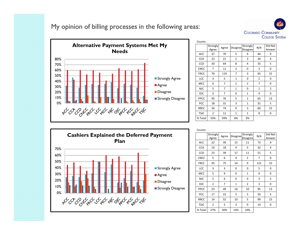My opinion of billing processes in the following areas:





| Counts:     |                   |       |                 |                      |                |                   |
|-------------|-------------------|-------|-----------------|----------------------|----------------|-------------------|
|             | Strongly<br>Agree | Agree | <b>Disagree</b> | Strongly<br>Disagree | N/A            | Did Not<br>Answer |
| ACC         | 37                | 70    | 5               | 4                    | 44             | 9                 |
| <b>CCA</b>  | 23                | 21    | $\overline{2}$  | 3                    | 20             | 4                 |
| CCD         | 30                | 64    | 8               | 4                    | 35             | 5                 |
| <b>CNCC</b> | $\overline{7}$    | 11    | 3               | 0                    | 3              | 0                 |
| <b>FRCC</b> | 70                | 119   | 7               | 3                    | 65             | 15                |
| LCC         | 3                 | 5     | $\mathbf{1}$    | 0                    | $\overline{2}$ | 0                 |
| <b>MCC</b>  | 6                 | 7     | $\overline{2}$  | $\overline{2}$       | 7              | 0                 |
| <b>NJC</b>  | 5                 | 7     | $\mathbf{1}$    | 0                    | $\mathbf{1}$   | $\overline{2}$    |
| <b>OJC</b>  | 3                 | 7     | 0               | $\mathbf{1}$         | 4              | 0                 |
| PPCC        | 45                | 76    | 5               | $\overline{2}$       | 65             | 13                |
| PCC         | 18                | 31    | 3               | $\overline{1}$       | 31             | 5                 |
| <b>RRCC</b> | 34                | 74    | 9               | 3                    | 60             | 15                |
| <b>TSJC</b> | $\overline{2}$    | 11    | $\mathbf{1}$    | $\mathbf{1}$         | 9              | 0                 |
| % Total     | 33%               | 59%   | 6%              | 3%                   |                |                   |



| Cuunto.     |                   |       |                 |                      |     |                   |
|-------------|-------------------|-------|-----------------|----------------------|-----|-------------------|
|             | Strongly<br>Agree | Agree | <b>Disagree</b> | Strongly<br>Disagree | N/A | Did Not<br>Answer |
| ACC         | 22                | 39    | 15              | 11                   | 73  | 9                 |
| <b>CCA</b>  | 10                | 18    | 4               | 5                    | 32  | 4                 |
| CCD         | 23                | 39    | 17              | 11                   | 51  | 5                 |
| <b>CNCC</b> | 5                 | 6     | 4               | $\overline{2}$       | 7   | 0                 |
| <b>FRCC</b> | 45                | 75    | 14              | 9                    | 121 | 15                |
| LCC         | 3                 | 3     | 0               | 0                    | 5   | 0                 |
| MCC         | 5                 | 9     | 0               | $\mathbf 1$          | 9   | 0                 |
| <b>NJC</b>  | 5                 | 6     | 0               | 0                    | 3   | $\overline{2}$    |
| <b>OJC</b>  | $\overline{2}$    | 7     | $\mathbf{1}$    | $\overline{2}$       | 3   | 0                 |
| PPCC        | 23                | 49    | 16              | 10                   | 95  | 13                |
| PCC         | 17                | 22    | 5               | 5                    | 35  | 5                 |
| <b>RRCC</b> | 14                | 52    | 10              | 5                    | 99  | 15                |
| <b>TSJC</b> | 2                 | 5     | 3               | 0                    | 14  | 0                 |
| % Total     | 27%               | 50%   | 14%             | 10%                  |     |                   |
|             |                   |       |                 |                      |     |                   |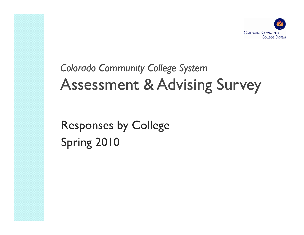

# *Colorado Community College System* Assessment & Advising Survey

Responses by College Spring 2010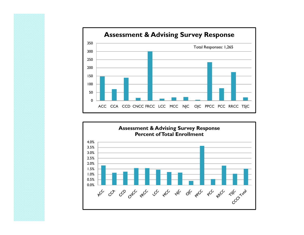

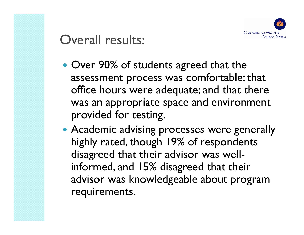

### Overall results:

- Over 90% of students agreed that the assessment process was comfortable; that office hours were adequate; and that there was an appropriate space and environment provided for testing.
- Academic advising processes were generally highly rated, though 19% of respondents disagreed that their advisor was wellinformed, and 15% disagreed that their advisor was knowledgeable about program requirements.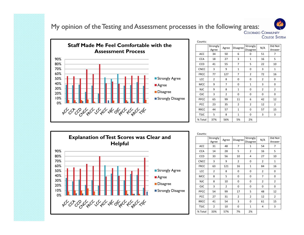My opinion of the Testing and Assessment processes in the following areas:

Staff Made Me Feel Comfortable with the **Assessment Process**90%80%70%60%50%Strongly Agree 40%**Agree** 30%**Disagree** 20%Strongly Disagree 10%0% PCC 23 35 2 2 12 2**پ**ره ره چرخ په ده ره پره په مهره د ره ره په

| Counts:     |                   |                |                 |                      |                |                   |
|-------------|-------------------|----------------|-----------------|----------------------|----------------|-------------------|
|             | Strongly<br>Agree | Agree          | <b>Disagree</b> | Strongly<br>Disagree | N/A            | Did Not<br>Answer |
| <b>ACC</b>  | 34                | 50             | 6               | 0                    | 51             | 7                 |
| <b>CCA</b>  | 18                | 27             | 3               | $\mathbf{1}$         | 16             | 5                 |
| CCD         | 41                | 55             | 7               | 5                    | 22             | 10                |
| <b>CNCC</b> | 3                 | 9              | $\mathbf{1}$    | 0                    | 3              | $\mathbf{1}$      |
| <b>FRCC</b> | 77                | 127            | 7               | $\overline{2}$       | 72             | 16                |
| LCC         | $\overline{2}$    | 8              | 0               | 0                    | $\overline{2}$ | 0                 |
| <b>MCC</b>  | 9                 | $\overline{7}$ | 0               | $\mathbf{1}$         | 3              | 0                 |
| <b>NJC</b>  | 9                 | 8              | $\mathbf{1}$    | 0                    | $\overline{2}$ | $\overline{2}$    |
| <b>OJC</b>  | 3                 | $\overline{2}$ | 0               | 0                    | 0              | 0                 |
| PPCC        | 65                | 99             | 11              | 6                    | 42             | 12                |
| PCC         | 23                | 35             | $\overline{2}$  | $\overline{2}$       | 12             | $\overline{2}$    |
| <b>RRCC</b> | 44                | 57             | $\mathbf{1}$    | 0                    | 57             | 15                |
| <b>TSJC</b> | 5                 | 8              | 1               | 0                    | 3              | 3                 |
| % Total     | 37%               | 56%            | 5%              | 2%                   |                |                   |

**COLLEGE SYSTEM** 



Counts: **Strongly** trongly Agree Disagree Strongly N/A Did Not<br>Agree Agree Disagree Disagree N/A Answer ACC 31 48 7 1 54 7CCA 14 28 5 2 16 5 5 CCD 1 33 1 56 1 10 1 4 1 27 1 10 FRCC | 63 | 121 | 16 | 1 | 84 | 16 LCC 2 8 0 0 0 2 2 0 MCC 1 8 1 5 1 0 1 0 1 7 1 0 NJC 8 10 0 0 0 2 2 OJC | 3 | 2 | 0 | 0 | 0 | 0 54 99 17 5 48 12 PCC | 27 | 31 | 2 | 2 | 12 | 2 RRCC | 41 | 54 | 3 | 0 | 61 | 15 15 TSJC 2 10 0 1 4 3% Total 33% 57% 7% 2%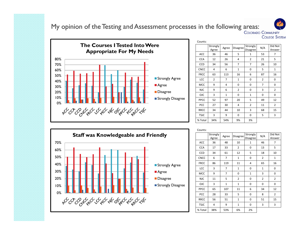My opinion of the Testing and Assessment processes in the following areas:

**COLLEGE SYSTEM** 



| Counts:     |                   |              |                |                      |     |                   |
|-------------|-------------------|--------------|----------------|----------------------|-----|-------------------|
|             | Strongly<br>Agree | Agree        | Disagree       | Strongly<br>Disagree | N/A | Did Not<br>Answer |
| ACC         | 36                | 46           | 5              | $\mathbf{1}$         | 53  | 7                 |
| <b>CCA</b>  | 12                | 26           | 4              | $\overline{2}$       | 21  | 5                 |
| CCD         | 34                | 56           | 7              | 7                    | 26  | 10                |
| <b>CNCC</b> | 4                 | 6            | $\mathbf{1}$   | 0                    | 5   | $\mathbf{1}$      |
| <b>FRCC</b> | 63                | 113          | 16             | 6                    | 87  | 16                |
| LCC         | 2                 | 7            | $\mathbf{1}$   | 0                    | 2   | 0                 |
| <b>MCC</b>  | 9                 | 4            | 0              | 0                    | 7   | 0                 |
| <b>NJC</b>  | 9                 | 6            | $\overline{2}$ | 0                    | 3   | $\overline{2}$    |
| <b>OJC</b>  | 3                 | $\mathbf{1}$ | 0              | $\mathbf{1}$         | 0   | 0                 |
| PPCC        | 52                | 97           | 20             | 5                    | 49  | 12                |
| PCC         | 27                | 30           | 4              | $\overline{2}$       | 11  | $\overline{2}$    |
| <b>RRCC</b> | 34                | 44           | 10             | 3                    | 68  | 15                |
| <b>TSJC</b> | 3                 | 9            | 0              | 0                    | 5   | 3                 |
| % Total     | 34%               | 54%          | 9%             | 3%                   |     |                   |



| Counts:     |                   |              |                |                      |                |                   |
|-------------|-------------------|--------------|----------------|----------------------|----------------|-------------------|
|             | Strongly<br>Agree | Agree        | Disagree       | Strongly<br>Disagree | N/A            | Did Not<br>Answer |
| <b>ACC</b>  | 36                | 48           | 10             | $\mathbf{1}$         | 46             | 7                 |
| <b>CCA</b>  | 17                | 33           | $\overline{2}$ | 0                    | 13             | 5                 |
| CCD         | 34                | 61           | 12             | 5                    | 18             | 10                |
| <b>CNCC</b> | 6                 | 7            | $\mathbf{1}$   | 0                    | 2              | $\mathbf{1}$      |
| <b>FRCC</b> | 86                | 119          | 11             | 4                    | 65             | 16                |
| LCC         | 3                 | 7            | $\mathbf{1}$   | 0                    | $\mathbf{1}$   | 0                 |
| <b>MCC</b>  | 9                 | 7            | 0              | $\mathbf{1}$         | 3              | 0                 |
| <b>NJC</b>  | 11                | 5            | $\overline{2}$ | 0                    | $\overline{2}$ | $\overline{2}$    |
| <b>OJC</b>  | 3                 | $\mathbf{1}$ | $\mathbf{1}$   | 0                    | 0              | 0                 |
| PPCC        | 65                | 107          | 11             | 6                    | 34             | 12                |
| <b>PCC</b>  | 28                | 33           | 5              | 0                    | 8              | $\overline{2}$    |
| <b>RRCC</b> | 56                | 51           | $\mathbf{1}$   | 0                    | 51             | 15                |
| <b>TSJC</b> | 4                 | 9            | $\mathbf{1}$   | 0                    | 3              | 3                 |
| % Total     | 38%               | 53%          | 6%             | 2%                   |                |                   |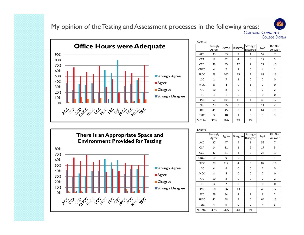### My opinion of the Testing and Assessment processes in the following areas:

60%70%80%90%**Office Hours were Adequate** 0%10%20% 30% 40%50%**Strongly Agree Agree Disagree** Strongly Disagree PCC 23 35 2 3 11 2

| Counts:     |                   |                |              |                      |                |                   |
|-------------|-------------------|----------------|--------------|----------------------|----------------|-------------------|
|             | Strongly<br>Agree | Agree          | Disagree     | Strongly<br>Disagree | N/A            | Did Not<br>Answer |
| <b>ACC</b>  | 33                | 53             | 2            | $\mathbf{1}$         | 52             | 7                 |
| <b>CCA</b>  | 12                | 32             | 4            | 0                    | 17             | 5                 |
| CCD         | 39                | 55             | 12           | $\overline{2}$       | 22             | 10                |
| <b>CNCC</b> | 4                 | $\overline{7}$ | $\mathbf{1}$ | 0                    | 4              | $\mathbf{1}$      |
| <b>FRCC</b> | 73                | 107            | 15           | $\overline{2}$       | 88             | 16                |
| LCC         | $\overline{2}$    | 7              | $\mathbf{1}$ | 0                    | $\overline{2}$ | 0                 |
| <b>MCC</b>  | 8                 | 4              | 0            | $\mathbf{1}$         | 7              | 0                 |
| <b>NJC</b>  | 10                | 8              | 0            | 0                    | $\overline{2}$ | $\overline{2}$    |
| <b>OJC</b>  | 4                 | $\mathbf{1}$   | 0            | 0                    | 0              | 0                 |
| PPCC        | 57                | 105            | 11           | 4                    | 46             | 12                |
| PCC         | 23                | 35             | 2            | 3                    | 11             | $\overline{2}$    |
| <b>RRCC</b> | 41                | 45             | 8            | $\mathbf{1}$         | 64             | 15                |
| <b>TSJC</b> | 3                 | 10             | $\mathbf{1}$ | 0                    | 3              | 3                 |
| % Total     | 36%               | 56%            | 7%           | 2%                   |                |                   |
|             |                   |                |              |                      |                |                   |

**COLLEGE SYSTEM** 



|             | Strongly<br>Agree | Agree          | Disagree     | Strongly<br>Disagree | N/A            | Did Not<br>Answer |
|-------------|-------------------|----------------|--------------|----------------------|----------------|-------------------|
| ACC         | 37                | 47             | 4            | $\mathbf{1}$         | 52             | 7                 |
| <b>CCA</b>  | 14                | 31             | $\mathbf{1}$ | 2                    | 17             | 5                 |
| CCD         | 37                | 61             | 4            | $\overline{2}$       | 26             | 10                |
| <b>CNCC</b> | 4                 | 9              | 0            | 0                    | 3              | $\mathbf 1$       |
| <b>FRCC</b> | 79                | 112            | 4            | 3                    | 87             | 16                |
| LCC         | 4                 | 6              | 0            | 0                    | 2              | 0                 |
| MCC         | 8                 | 5              | 0            | 0                    | 7              | 0                 |
| <b>NJC</b>  | 10                | 8              | 0            | 0                    | $\overline{2}$ | 2                 |
| <b>OJC</b>  | 3                 | $\overline{2}$ | 0            | 0                    | 0              | 0                 |
| PPCC        | 60                | 96             | 13           | 6                    | 48             | 12                |
| PCC         | 29                | 34             | $\mathbf{1}$ | $\overline{2}$       | 8              | $\overline{2}$    |
| <b>RRCC</b> | 42                | 48             | 5            | 0                    | 64             | 15                |
| <b>TSJC</b> | 4                 | 9              | 0            | 0                    | 4              | 3                 |
| % Total     | 39%               | 56%            | 4%           | 2%                   |                |                   |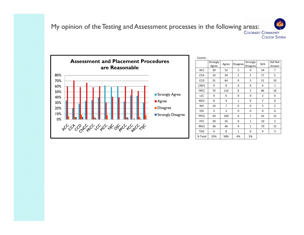### My opinion of the Testing and Assessment processes in the following areas: **COLLEGE SYSTEM**



| Counts:     |                   |                |                |                      |                |                   |
|-------------|-------------------|----------------|----------------|----------------------|----------------|-------------------|
|             | Strongly<br>Agree | Agree          | Disagree       | Strongly<br>Disagree | N/A            | Did Not<br>Answer |
| ACC         | 30                | 52             | 5              | 0                    | 54             | 7                 |
| <b>CCA</b>  | 10                | 34             | $\overline{2}$ | $\overline{2}$       | 17             | 5                 |
| <b>CCD</b>  | 31                | 64             | 9              | 5                    | 21             | 10                |
| <b>CNCC</b> | 4                 | 8              | 0              | 0                    | 4              | $\mathbf{1}$      |
| <b>FRCC</b> | 70                | 116            | 8              | 5                    | 86             | 16                |
| LCC         | 4                 | 6              | 0              | 0                    | $\overline{2}$ | 0                 |
| <b>MCC</b>  | 8                 | 4              | $\mathbf{1}$   | 0                    | 7              | 0                 |
| <b>NJC</b>  | 10                | $\overline{7}$ | 0              | 0                    | 3              | $\overline{2}$    |
| <b>OJC</b>  | 3                 | $\overline{2}$ | 0              | 0                    | 0              | 0                 |
| PPCC        | 59                | 109            | 6              | 7                    | 42             | 12                |
| PCC         | 28                | 35             | 0              | $\mathbf{1}$         | 10             | $\overline{2}$    |
| <b>RRCC</b> | 38                | 46             | 4              | $\mathbf{1}$         | 70             | 15                |
| <b>TSJC</b> | 4                 | 8              | $\mathbf{1}$   | 0                    | 4              | 3                 |
| % Total     | 35%               | 58%            | 4%             | 3%                   |                |                   |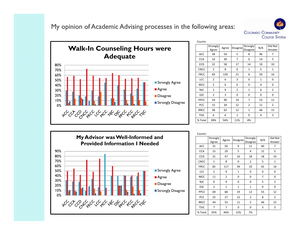My opinion of Academic Advising processes in the following areas:





| Counts:     |                   |       |                 |                      |     |                   |
|-------------|-------------------|-------|-----------------|----------------------|-----|-------------------|
|             | Strongly<br>Agree | Agree | <b>Disagree</b> | Strongly<br>Disagree | N/A | Did Not<br>Answer |
| <b>ACC</b>  | 28                | 54    | 5               | 8                    | 46  | 7                 |
| <b>CCA</b>  | 14                | 30    | 7               | 0                    | 14  | 5                 |
| CCD         | 22                | 58    | 17              | 14                   | 19  | 10                |
| <b>CNCC</b> | $\overline{2}$    | 8     | 0               | $\mathbf{1}$         | 5   | $\mathbf{1}$      |
| <b>FRCC</b> | 69                | 139   | 21              | 6                    | 50  | 16                |
| LCC         | 2                 | 6     | 3               | 0                    | 1   | 0                 |
| MCC         | 5                 | 6     | 0               | 0                    | 9   | 0                 |
| <b>NJC</b>  | $\overline{2}$    | 9     | $\overline{2}$  | $\mathbf{1}$         | 6   | 2                 |
| <b>OJC</b>  | $\overline{2}$    | 3     | 0               | 0                    | 0   | 0                 |
| PPCC        | 54                | 90    | 19              | 7                    | 53  | 12                |
| PCC         | 15                | 34    | 12              | 2                    | 11  | 2                 |
| <b>RRCC</b> | 38                | 62    | 12              | $\mathbf{1}$         | 46  | 15                |
| <b>TSJC</b> | 6                 | 6     | $\mathbf{1}$    | 0                    | 4   | 3                 |
| % Total     | 28%               | 56%   | 11%             | 4%                   |     |                   |



| CUUIILS.    |                   |                |                 |                             |     |                   |
|-------------|-------------------|----------------|-----------------|-----------------------------|-----|-------------------|
|             | Strongly<br>Agree | Agree          | <b>Disagree</b> | Strongly<br><b>Disagree</b> | N/A | Did Not<br>Answer |
| ACC         | 31                | 50             | 9               | 11                          | 40  | 7                 |
| <b>CCA</b>  | 15                | 29             | 5               | 4                           | 12  | 5                 |
| CCD         | 31                | 47             | 16              | 18                          | 18  | 10                |
| <b>CNCC</b> | $\mathbf 1$       | 8              | 0               | 2                           | 5   | $\mathbf{1}$      |
| <b>FRCC</b> | 82                | 117            | 34              | 10                          | 42  | 16                |
| LCC         | $\overline{2}$    | 9              | $\mathbf{1}$    | 0                           | 0   | 0                 |
| MCC         | 11                | $\overline{2}$ | 0               | 0                           | 7   | 0                 |
| <b>NJC</b>  | 6                 | 9              | 0               | 0                           | 5   | $\overline{2}$    |
| <b>OJC</b>  | $\overline{2}$    | $\mathbf{1}$   | $\mathbf{1}$    | $\mathbf{1}$                | 0   | 0                 |
| PPCC        | 69                | 68             | 19              | 12                          | 55  | 12                |
| PCC         | 25                | 27             | 12              | $\overline{2}$              | 8   | $\overline{2}$    |
| <b>RRCC</b> | 44                | 53             | 11              | 5                           | 46  | 15                |
| <b>TSJC</b> | 7                 | $\overline{7}$ | 0               | 0                           | 3   | 3                 |
| % Total     | 35%               | 46%            | 12%             | 7%                          |     |                   |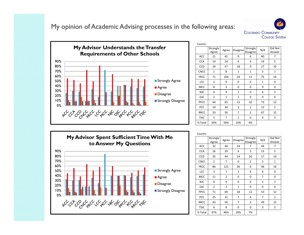My opinion of Academic Advising processes in the following areas:





| Counts:     |                   |                |                |                      |              |                   |
|-------------|-------------------|----------------|----------------|----------------------|--------------|-------------------|
|             | Strongly<br>Agree | Agree          | Disagree       | Strongly<br>Disagree | N/A          | Did Not<br>Answer |
| ACC         | 21                | 45             | 9              | 6                    | 60           | 7                 |
| <b>CCA</b>  | 14                | 24             | 4              | 4                    | 19           | 5                 |
| CCD         | 29                | 47             | 18             | 9                    | 27           | 10                |
| <b>CNCC</b> | $\mathbf{1}$      | 8              | $\mathbf{1}$   | $\mathbf{1}$         | 5            | 1                 |
| <b>FRCC</b> | 71                | 104            | 24             | 11                   | 75           | 16                |
| LCC         | 2                 | 9              | 0              | 0                    | $\mathbf{1}$ | 0                 |
| <b>MCC</b>  | 8                 | 3              | 0              | 0                    | 9            | 0                 |
| <b>NJC</b>  | 4                 | 9              | $\mathbf{1}$   | 0                    | 6            | $\overline{2}$    |
| <b>OJC</b>  | $\overline{2}$    | $\mathbf{1}$   | $\overline{2}$ | 0                    | 0            | 0                 |
| <b>PPCC</b> | 64                | 63             | 13             | 10                   | 73           | 12                |
| PCC         | 24                | 34             | 3              | $\mathbf{1}$         | 12           | $\overline{2}$    |
| <b>RRCC</b> | 33                | 50             | $\overline{7}$ | $\overline{2}$       | 67           | 15                |
| <b>TSJC</b> | 5                 | $\overline{7}$ | $\mathbf{1}$   | 0                    | 4            | 3                 |
| % Total     | 34%               | 50%            | 10%            | 6%                   |              |                   |



| Counts:     |                   |                |                |                      |     |                   |
|-------------|-------------------|----------------|----------------|----------------------|-----|-------------------|
|             | Strongly<br>Agree | Agree          | Disagree       | Strongly<br>Disagree | N/A | Did Not<br>Answer |
| <b>ACC</b>  | 32                | 44             | 14             | 7                    | 44  | 7                 |
| <b>CCA</b>  | 16                | 29             | 4              | 3                    | 13  | 5                 |
| CCD         | 35                | 44             | 14             | 20                   | 17  | 10                |
| <b>CNCC</b> | $\overline{2}$    | $\overline{7}$ | 0              | $\overline{2}$       | 5   | $\mathbf{1}$      |
| <b>FRCC</b> | 86                | 121            | 26             | 6                    | 46  | 16                |
| LCC         | 3                 | $\overline{7}$ | $\overline{2}$ | 0                    | 0   | 0                 |
| <b>MCC</b>  | 11                | $\overline{2}$ | 0              | 0                    | 7   | 0                 |
| <b>NJC</b>  | 6                 | 9              | 0              | 0                    | 5   | $\overline{2}$    |
| <b>OJC</b>  | $\overline{2}$    | $\overline{2}$ | $\mathbf{1}$   | 0                    | 0   | 0                 |
| PPCC        | 71                | 69             | 18             | 12                   | 53  | 12                |
| <b>PCC</b>  | 25                | 31             | 7              | 4                    | 7   | $\overline{2}$    |
| <b>RRCC</b> | 43                | 56             | 7              | 4                    | 49  | 15                |
| <b>TSJC</b> | 6                 | 8              | 0              | 0                    | 3   | 3                 |
| % Total     | 37%               | 46%            | 10%            | 7%                   |     |                   |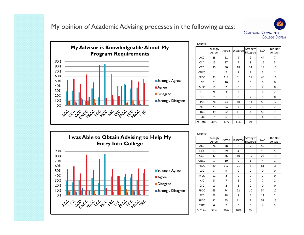My opinion of Academic Advising processes in the following areas:





| Counts:     |                   |                |                 |                             |                |                   |
|-------------|-------------------|----------------|-----------------|-----------------------------|----------------|-------------------|
|             | Strongly<br>Agree | Agree          | <b>Disagree</b> | Strongly<br><b>Disagree</b> | N/A            | Did Not<br>Answer |
| ACC         | 28                | 51             | 9               | 9                           | 44             | 7                 |
| <b>CCA</b>  | 15                | 27             | 4               | 3                           | 16             | 5                 |
| CCD         | 30                | 50             | 18              | 14                          | 18             | 10                |
| <b>CNCC</b> | $\mathbf{1}$      | 7              | $\mathbf{1}$    | $\overline{2}$              | 5              | 1                 |
| <b>FRCC</b> | 83                | 112            | 31              | 11                          | 48             | 16                |
| LCC         | $\overline{2}$    | 10             | 0               | 0                           | 0              | 0                 |
| MCC         | 11                | $\overline{2}$ | 0               | 0                           | $\overline{7}$ | 0                 |
| <b>NJC</b>  | 9                 | 3              | $\overline{2}$  | 0                           | 6              | 2                 |
| <b>OJC</b>  | $\overline{2}$    | $\mathbf{1}$   | 0               | $\overline{2}$              | 0              | $\mathbf 0$       |
| PPCC        | 76                | 73             | 10              | 11                          | 53             | 12                |
| PCC         | 23                | 34             | 7               | $\overline{2}$              | 8              | $\overline{2}$    |
| <b>RRCC</b> | 39                | 52             | 11              | 4                           | 53             | 15                |
| <b>TSJC</b> | 7                 | 6              | 0               | 0                           | 4              | 3                 |
| % Total     | 36%               | 47%            | 11%             | 7%                          |                |                   |



| Counts:     |                   |                |                |                             |                |                   |
|-------------|-------------------|----------------|----------------|-----------------------------|----------------|-------------------|
|             | Strongly<br>Agree | Agree          | Disagree       | Strongly<br><b>Disagree</b> | N/A            | Did Not<br>Answer |
| ACC         | 26                | 48             | 8              | 7                           | 52             | 7                 |
| <b>CCA</b>  | 13                | 29             | 4              | 3                           | 16             | 5                 |
| <b>CCD</b>  | 32                | 46             | 10             | 15                          | 27             | 10                |
| <b>CNCC</b> | $\mathbf{1}$      | 10             | 0              | $\mathbf{1}$                | 4              | 1                 |
| <b>FRCC</b> | 80                | 117            | 21             | 6                           | 61             | 16                |
| LCC         | 3                 | 9              | 0              | 0                           | 0              | 0                 |
| <b>MCC</b>  | 11                | $\overline{2}$ | 0              | 0                           | $\overline{7}$ | 0                 |
| <b>NJC</b>  | 5                 | 7              | $\mathbf{1}$   | 0                           | 7              | $\overline{2}$    |
| <b>OJC</b>  | 2                 | $\overline{2}$ | $\mathbf{1}$   | 0                           | 0              | 0                 |
| PPCC        | 63                | 74             | 22             | 10                          | 54             | 12                |
| PCC         | 23                | 28             | $\overline{7}$ | 5                           | 11             | $\overline{2}$    |
| <b>RRCC</b> | 32                | 55             | 11             | $\overline{2}$              | 59             | 15                |
| <b>TSJC</b> | 6                 | 7              | 0              | 0                           | 4              | 3                 |
| % Total     | 34%               | 50%            | 10%            | 6%                          |                |                   |